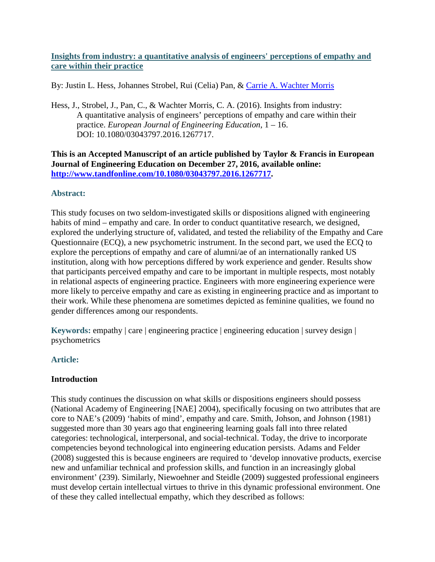## **Insights from industry: a quantitative analysis of engineers' perceptions of empathy and care within their practice**

By: Justin L. Hess, Johannes Strobel, Rui (Celia) Pan, & [Carrie A. Wachter Morris](http://libres.uncg.edu/ir/uncg/clist.aspx?id=2489)

Hess, J., Strobel, J., Pan, C., & Wachter Morris, C. A. (2016). Insights from industry: A quantitative analysis of engineers' perceptions of empathy and care within their practice. *European Journal of Engineering Education*, 1 – 16. DOI: 10.1080/03043797.2016.1267717.

**This is an Accepted Manuscript of an article published by Taylor & Francis in European Journal of Engineering Education on December 27, 2016, available online: [http://www.tandfonline.com/10.1080/03043797.2016.1267717.](http://www.tandfonline.com/10.1080/03043797.2016.1267717)**

## **Abstract:**

This study focuses on two seldom-investigated skills or dispositions aligned with engineering habits of mind – empathy and care. In order to conduct quantitative research, we designed, explored the underlying structure of, validated, and tested the reliability of the Empathy and Care Questionnaire (ECQ), a new psychometric instrument. In the second part, we used the ECQ to explore the perceptions of empathy and care of alumni/ae of an internationally ranked US institution, along with how perceptions differed by work experience and gender. Results show that participants perceived empathy and care to be important in multiple respects, most notably in relational aspects of engineering practice. Engineers with more engineering experience were more likely to perceive empathy and care as existing in engineering practice and as important to their work. While these phenomena are sometimes depicted as feminine qualities, we found no gender differences among our respondents.

**Keywords:** empathy | care | engineering practice | engineering education | survey design | psychometrics

## **Article:**

## **Introduction**

This study continues the discussion on what skills or dispositions engineers should possess (National Academy of Engineering [NAE] 2004), specifically focusing on two attributes that are core to NAE's (2009) 'habits of mind', empathy and care. Smith, Johson, and Johnson (1981) suggested more than 30 years ago that engineering learning goals fall into three related categories: technological, interpersonal, and social-technical. Today, the drive to incorporate competencies beyond technological into engineering education persists. Adams and Felder (2008) suggested this is because engineers are required to 'develop innovative products, exercise new and unfamiliar technical and profession skills, and function in an increasingly global environment' (239). Similarly, Niewoehner and Steidle (2009) suggested professional engineers must develop certain intellectual virtues to thrive in this dynamic professional environment. One of these they called intellectual empathy, which they described as follows: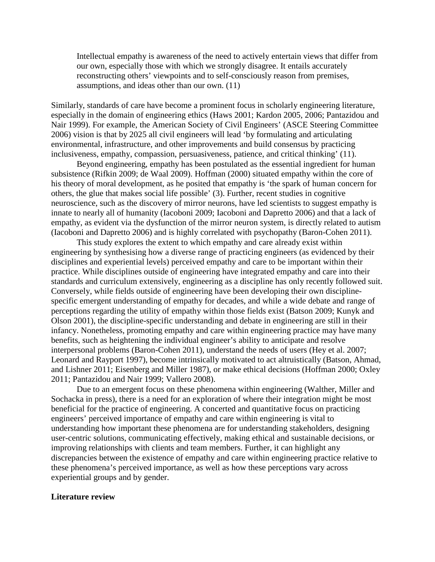Intellectual empathy is awareness of the need to actively entertain views that differ from our own, especially those with which we strongly disagree. It entails accurately reconstructing others' viewpoints and to self-consciously reason from premises, assumptions, and ideas other than our own. (11)

Similarly, standards of care have become a prominent focus in scholarly engineering literature, especially in the domain of engineering ethics (Haws 2001; Kardon 2005, 2006; Pantazidou and Nair 1999). For example, the American Society of Civil Engineers' (ASCE Steering Committee 2006) vision is that by 2025 all civil engineers will lead 'by formulating and articulating environmental, infrastructure, and other improvements and build consensus by practicing inclusiveness, empathy, compassion, persuasiveness, patience, and critical thinking' (11).

Beyond engineering, empathy has been postulated as the essential ingredient for human subsistence (Rifkin 2009; de Waal 2009). Hoffman (2000) situated empathy within the core of his theory of moral development, as he posited that empathy is 'the spark of human concern for others, the glue that makes social life possible' (3). Further, recent studies in cognitive neuroscience, such as the discovery of mirror neurons, have led scientists to suggest empathy is innate to nearly all of humanity (Iacoboni 2009; Iacoboni and Dapretto 2006) and that a lack of empathy, as evident via the dysfunction of the mirror neuron system, is directly related to autism (Iacoboni and Dapretto 2006) and is highly correlated with psychopathy (Baron-Cohen 2011).

This study explores the extent to which empathy and care already exist within engineering by synthesising how a diverse range of practicing engineers (as evidenced by their disciplines and experiential levels) perceived empathy and care to be important within their practice. While disciplines outside of engineering have integrated empathy and care into their standards and curriculum extensively, engineering as a discipline has only recently followed suit. Conversely, while fields outside of engineering have been developing their own disciplinespecific emergent understanding of empathy for decades, and while a wide debate and range of perceptions regarding the utility of empathy within those fields exist (Batson 2009; Kunyk and Olson 2001), the discipline-specific understanding and debate in engineering are still in their infancy. Nonetheless, promoting empathy and care within engineering practice may have many benefits, such as heightening the individual engineer's ability to anticipate and resolve interpersonal problems (Baron-Cohen 2011), understand the needs of users (Hey et al. 2007; Leonard and Rayport 1997), become intrinsically motivated to act altruistically (Batson, Ahmad, and Lishner 2011; Eisenberg and Miller 1987), or make ethical decisions (Hoffman 2000; Oxley 2011; Pantazidou and Nair 1999; Vallero 2008).

Due to an emergent focus on these phenomena within engineering (Walther, Miller and Sochacka in press), there is a need for an exploration of where their integration might be most beneficial for the practice of engineering. A concerted and quantitative focus on practicing engineers' perceived importance of empathy and care within engineering is vital to understanding how important these phenomena are for understanding stakeholders, designing user-centric solutions, communicating effectively, making ethical and sustainable decisions, or improving relationships with clients and team members. Further, it can highlight any discrepancies between the existence of empathy and care within engineering practice relative to these phenomena's perceived importance, as well as how these perceptions vary across experiential groups and by gender.

### **Literature review**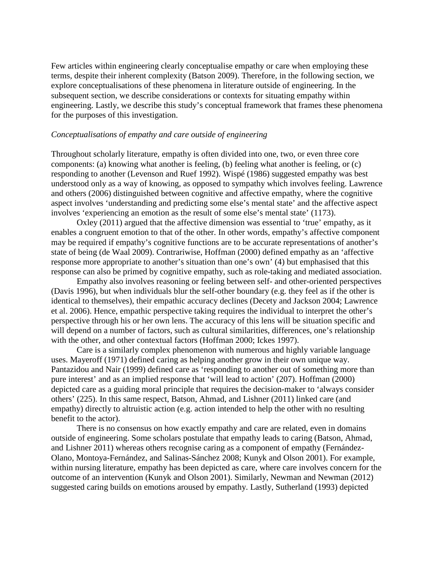Few articles within engineering clearly conceptualise empathy or care when employing these terms, despite their inherent complexity (Batson 2009). Therefore, in the following section, we explore conceptualisations of these phenomena in literature outside of engineering. In the subsequent section, we describe considerations or contexts for situating empathy within engineering. Lastly, we describe this study's conceptual framework that frames these phenomena for the purposes of this investigation.

### *Conceptualisations of empathy and care outside of engineering*

Throughout scholarly literature, empathy is often divided into one, two, or even three core components: (a) knowing what another is feeling, (b) feeling what another is feeling, or (c) responding to another (Levenson and Ruef 1992). Wispé (1986) suggested empathy was best understood only as a way of knowing, as opposed to sympathy which involves feeling. Lawrence and others (2006) distinguished between cognitive and affective empathy, where the cognitive aspect involves 'understanding and predicting some else's mental state' and the affective aspect involves 'experiencing an emotion as the result of some else's mental state' (1173).

Oxley (2011) argued that the affective dimension was essential to 'true' empathy, as it enables a congruent emotion to that of the other. In other words, empathy's affective component may be required if empathy's cognitive functions are to be accurate representations of another's state of being (de Waal 2009). Contrariwise, Hoffman (2000) defined empathy as an 'affective response more appropriate to another's situation than one's own' (4) but emphasised that this response can also be primed by cognitive empathy, such as role-taking and mediated association.

Empathy also involves reasoning or feeling between self- and other-oriented perspectives (Davis 1996), but when individuals blur the self-other boundary (e.g. they feel as if the other is identical to themselves), their empathic accuracy declines (Decety and Jackson 2004; Lawrence et al. 2006). Hence, empathic perspective taking requires the individual to interpret the other's perspective through his or her own lens. The accuracy of this lens will be situation specific and will depend on a number of factors, such as cultural similarities, differences, one's relationship with the other, and other contextual factors (Hoffman 2000; Ickes 1997).

Care is a similarly complex phenomenon with numerous and highly variable language uses. Mayeroff (1971) defined caring as helping another grow in their own unique way. Pantazidou and Nair (1999) defined care as 'responding to another out of something more than pure interest' and as an implied response that 'will lead to action' (207). Hoffman (2000) depicted care as a guiding moral principle that requires the decision-maker to 'always consider others' (225). In this same respect, Batson, Ahmad, and Lishner (2011) linked care (and empathy) directly to altruistic action (e.g. action intended to help the other with no resulting benefit to the actor).

There is no consensus on how exactly empathy and care are related, even in domains outside of engineering. Some scholars postulate that empathy leads to caring (Batson, Ahmad, and Lishner 2011) whereas others recognise caring as a component of empathy (Fernández-Olano, Montoya-Fernández, and Salinas-Sánchez 2008; Kunyk and Olson 2001). For example, within nursing literature, empathy has been depicted as care, where care involves concern for the outcome of an intervention (Kunyk and Olson 2001). Similarly, Newman and Newman (2012) suggested caring builds on emotions aroused by empathy. Lastly, Sutherland (1993) depicted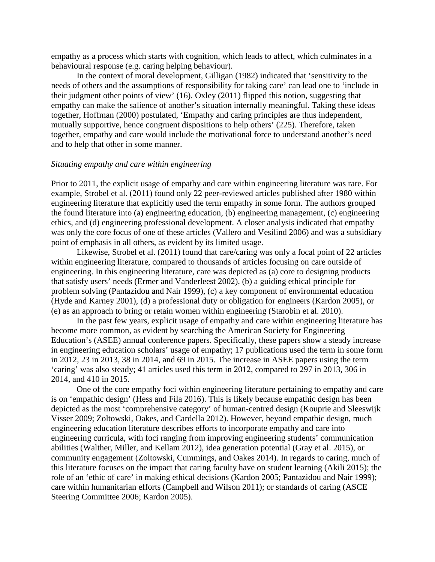empathy as a process which starts with cognition, which leads to affect, which culminates in a behavioural response (e.g. caring helping behaviour).

In the context of moral development, Gilligan (1982) indicated that 'sensitivity to the needs of others and the assumptions of responsibility for taking care' can lead one to 'include in their judgment other points of view' (16). Oxley (2011) flipped this notion, suggesting that empathy can make the salience of another's situation internally meaningful. Taking these ideas together, Hoffman (2000) postulated, 'Empathy and caring principles are thus independent, mutually supportive, hence congruent dispositions to help others' (225). Therefore, taken together, empathy and care would include the motivational force to understand another's need and to help that other in some manner.

### *Situating empathy and care within engineering*

Prior to 2011, the explicit usage of empathy and care within engineering literature was rare. For example, Strobel et al. (2011) found only 22 peer-reviewed articles published after 1980 within engineering literature that explicitly used the term empathy in some form. The authors grouped the found literature into (a) engineering education, (b) engineering management, (c) engineering ethics, and (d) engineering professional development. A closer analysis indicated that empathy was only the core focus of one of these articles (Vallero and Vesilind 2006) and was a subsidiary point of emphasis in all others, as evident by its limited usage.

Likewise, Strobel et al. (2011) found that care/caring was only a focal point of 22 articles within engineering literature, compared to thousands of articles focusing on care outside of engineering. In this engineering literature, care was depicted as (a) core to designing products that satisfy users' needs (Ermer and Vanderleest 2002), (b) a guiding ethical principle for problem solving (Pantazidou and Nair 1999), (c) a key component of environmental education (Hyde and Karney 2001), (d) a professional duty or obligation for engineers (Kardon 2005), or (e) as an approach to bring or retain women within engineering (Starobin et al. 2010).

In the past few years, explicit usage of empathy and care within engineering literature has become more common, as evident by searching the American Society for Engineering Education's (ASEE) annual conference papers. Specifically, these papers show a steady increase in engineering education scholars' usage of empathy; 17 publications used the term in some form in 2012, 23 in 2013, 38 in 2014, and 69 in 2015. The increase in ASEE papers using the term 'caring' was also steady; 41 articles used this term in 2012, compared to 297 in 2013, 306 in 2014, and 410 in 2015.

One of the core empathy foci within engineering literature pertaining to empathy and care is on 'empathic design' (Hess and Fila 2016). This is likely because empathic design has been depicted as the most 'comprehensive category' of human-centred design (Kouprie and Sleeswijk Visser 2009; Zoltowski, Oakes, and Cardella 2012). However, beyond empathic design, much engineering education literature describes efforts to incorporate empathy and care into engineering curricula, with foci ranging from improving engineering students' communication abilities (Walther, Miller, and Kellam 2012), idea generation potential (Gray et al. 2015), or community engagement (Zoltowski, Cummings, and Oakes 2014). In regards to caring, much of this literature focuses on the impact that caring faculty have on student learning (Akili 2015); the role of an 'ethic of care' in making ethical decisions (Kardon 2005; Pantazidou and Nair 1999); care within humanitarian efforts (Campbell and Wilson 2011); or standards of caring (ASCE Steering Committee 2006; Kardon 2005).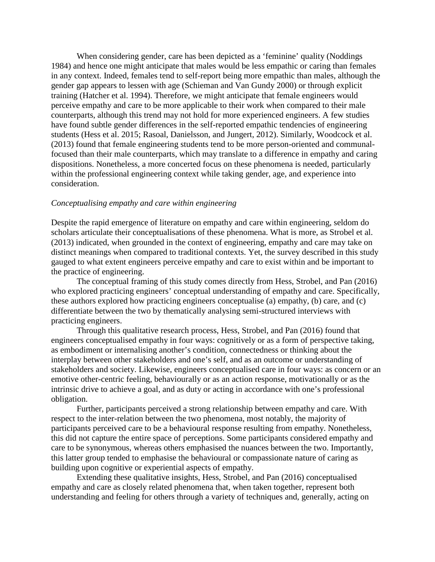When considering gender, care has been depicted as a 'feminine' quality (Noddings 1984) and hence one might anticipate that males would be less empathic or caring than females in any context. Indeed, females tend to self-report being more empathic than males, although the gender gap appears to lessen with age (Schieman and Van Gundy 2000) or through explicit training (Hatcher et al. 1994). Therefore, we might anticipate that female engineers would perceive empathy and care to be more applicable to their work when compared to their male counterparts, although this trend may not hold for more experienced engineers. A few studies have found subtle gender differences in the self-reported empathic tendencies of engineering students (Hess et al. 2015; Rasoal, Danielsson, and Jungert, 2012). Similarly, Woodcock et al. (2013) found that female engineering students tend to be more person-oriented and communalfocused than their male counterparts, which may translate to a difference in empathy and caring dispositions. Nonetheless, a more concerted focus on these phenomena is needed, particularly within the professional engineering context while taking gender, age, and experience into consideration.

### *Conceptualising empathy and care within engineering*

Despite the rapid emergence of literature on empathy and care within engineering, seldom do scholars articulate their conceptualisations of these phenomena. What is more, as Strobel et al. (2013) indicated, when grounded in the context of engineering, empathy and care may take on distinct meanings when compared to traditional contexts. Yet, the survey described in this study gauged to what extent engineers perceive empathy and care to exist within and be important to the practice of engineering.

The conceptual framing of this study comes directly from Hess, Strobel, and Pan (2016) who explored practicing engineers' conceptual understanding of empathy and care. Specifically, these authors explored how practicing engineers conceptualise (a) empathy, (b) care, and (c) differentiate between the two by thematically analysing semi-structured interviews with practicing engineers.

Through this qualitative research process, Hess, Strobel, and Pan (2016) found that engineers conceptualised empathy in four ways: cognitively or as a form of perspective taking, as embodiment or internalising another's condition, connectedness or thinking about the interplay between other stakeholders and one's self, and as an outcome or understanding of stakeholders and society. Likewise, engineers conceptualised care in four ways: as concern or an emotive other-centric feeling, behaviourally or as an action response, motivationally or as the intrinsic drive to achieve a goal, and as duty or acting in accordance with one's professional obligation.

Further, participants perceived a strong relationship between empathy and care. With respect to the inter-relation between the two phenomena, most notably, the majority of participants perceived care to be a behavioural response resulting from empathy. Nonetheless, this did not capture the entire space of perceptions. Some participants considered empathy and care to be synonymous, whereas others emphasised the nuances between the two. Importantly, this latter group tended to emphasise the behavioural or compassionate nature of caring as building upon cognitive or experiential aspects of empathy.

Extending these qualitative insights, Hess, Strobel, and Pan (2016) conceptualised empathy and care as closely related phenomena that, when taken together, represent both understanding and feeling for others through a variety of techniques and, generally, acting on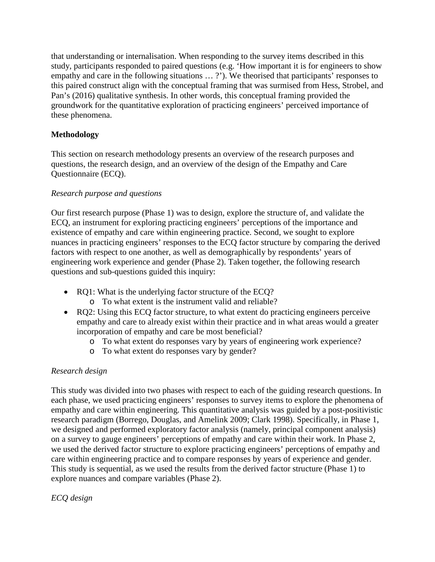that understanding or internalisation. When responding to the survey items described in this study, participants responded to paired questions (e.g. 'How important it is for engineers to show empathy and care in the following situations … ?'). We theorised that participants' responses to this paired construct align with the conceptual framing that was surmised from Hess, Strobel, and Pan's (2016) qualitative synthesis. In other words, this conceptual framing provided the groundwork for the quantitative exploration of practicing engineers' perceived importance of these phenomena.

## **Methodology**

This section on research methodology presents an overview of the research purposes and questions, the research design, and an overview of the design of the Empathy and Care Questionnaire (ECQ).

## *Research purpose and questions*

Our first research purpose (Phase 1) was to design, explore the structure of, and validate the ECQ, an instrument for exploring practicing engineers' perceptions of the importance and existence of empathy and care within engineering practice. Second, we sought to explore nuances in practicing engineers' responses to the ECQ factor structure by comparing the derived factors with respect to one another, as well as demographically by respondents' years of engineering work experience and gender (Phase 2). Taken together, the following research questions and sub-questions guided this inquiry:

- RQ1: What is the underlying factor structure of the ECQ?
	- o To what extent is the instrument valid and reliable?
- RQ2: Using this ECQ factor structure, to what extent do practicing engineers perceive empathy and care to already exist within their practice and in what areas would a greater incorporation of empathy and care be most beneficial?
	- o To what extent do responses vary by years of engineering work experience?
	- o To what extent do responses vary by gender?

## *Research design*

This study was divided into two phases with respect to each of the guiding research questions. In each phase, we used practicing engineers' responses to survey items to explore the phenomena of empathy and care within engineering. This quantitative analysis was guided by a post-positivistic research paradigm (Borrego, Douglas, and Amelink 2009; Clark 1998). Specifically, in Phase 1, we designed and performed exploratory factor analysis (namely, principal component analysis) on a survey to gauge engineers' perceptions of empathy and care within their work. In Phase 2, we used the derived factor structure to explore practicing engineers' perceptions of empathy and care within engineering practice and to compare responses by years of experience and gender. This study is sequential, as we used the results from the derived factor structure (Phase 1) to explore nuances and compare variables (Phase 2).

## *ECQ design*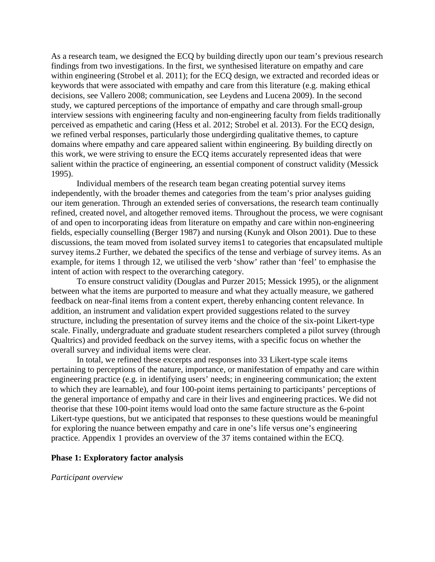As a research team, we designed the ECQ by building directly upon our team's previous research findings from two investigations. In the first, we synthesised literature on empathy and care within engineering (Strobel et al. 2011); for the ECQ design, we extracted and recorded ideas or keywords that were associated with empathy and care from this literature (e.g. making ethical decisions, see Vallero 2008; communication, see Leydens and Lucena 2009). In the second study, we captured perceptions of the importance of empathy and care through small-group interview sessions with engineering faculty and non-engineering faculty from fields traditionally perceived as empathetic and caring (Hess et al. 2012; Strobel et al. 2013). For the ECQ design, we refined verbal responses, particularly those undergirding qualitative themes, to capture domains where empathy and care appeared salient within engineering. By building directly on this work, we were striving to ensure the ECQ items accurately represented ideas that were salient within the practice of engineering, an essential component of construct validity (Messick 1995).

Individual members of the research team began creating potential survey items independently, with the broader themes and categories from the team's prior analyses guiding our item generation. Through an extended series of conversations, the research team continually refined, created novel, and altogether removed items. Throughout the process, we were cognisant of and open to incorporating ideas from literature on empathy and care within non-engineering fields, especially counselling (Berger 1987) and nursing (Kunyk and Olson 2001). Due to these discussions, the team moved from isolated survey items1 to categories that encapsulated multiple survey items.2 Further, we debated the specifics of the tense and verbiage of survey items. As an example, for items 1 through 12, we utilised the verb 'show' rather than 'feel' to emphasise the intent of action with respect to the overarching category.

To ensure construct validity (Douglas and Purzer 2015; Messick 1995), or the alignment between what the items are purported to measure and what they actually measure, we gathered feedback on near-final items from a content expert, thereby enhancing content relevance. In addition, an instrument and validation expert provided suggestions related to the survey structure, including the presentation of survey items and the choice of the six-point Likert-type scale. Finally, undergraduate and graduate student researchers completed a pilot survey (through Qualtrics) and provided feedback on the survey items, with a specific focus on whether the overall survey and individual items were clear.

In total, we refined these excerpts and responses into 33 Likert-type scale items pertaining to perceptions of the nature, importance, or manifestation of empathy and care within engineering practice (e.g. in identifying users' needs; in engineering communication; the extent to which they are learnable), and four 100-point items pertaining to participants' perceptions of the general importance of empathy and care in their lives and engineering practices. We did not theorise that these 100-point items would load onto the same facture structure as the 6-point Likert-type questions, but we anticipated that responses to these questions would be meaningful for exploring the nuance between empathy and care in one's life versus one's engineering practice. Appendix 1 provides an overview of the 37 items contained within the ECQ.

### **Phase 1: Exploratory factor analysis**

*Participant overview*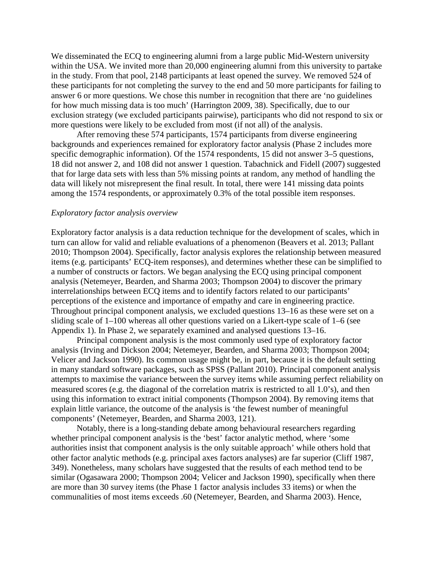We disseminated the ECQ to engineering alumni from a large public Mid-Western university within the USA. We invited more than 20,000 engineering alumni from this university to partake in the study. From that pool, 2148 participants at least opened the survey. We removed 524 of these participants for not completing the survey to the end and 50 more participants for failing to answer 6 or more questions. We chose this number in recognition that there are 'no guidelines for how much missing data is too much' (Harrington 2009, 38). Specifically, due to our exclusion strategy (we excluded participants pairwise), participants who did not respond to six or more questions were likely to be excluded from most (if not all) of the analysis.

After removing these 574 participants, 1574 participants from diverse engineering backgrounds and experiences remained for exploratory factor analysis (Phase 2 includes more specific demographic information). Of the 1574 respondents, 15 did not answer 3–5 questions, 18 did not answer 2, and 108 did not answer 1 question. Tabachnick and Fidell (2007) suggested that for large data sets with less than 5% missing points at random, any method of handling the data will likely not misrepresent the final result. In total, there were 141 missing data points among the 1574 respondents, or approximately 0.3% of the total possible item responses.

### *Exploratory factor analysis overview*

Exploratory factor analysis is a data reduction technique for the development of scales, which in turn can allow for valid and reliable evaluations of a phenomenon (Beavers et al. 2013; Pallant 2010; Thompson 2004). Specifically, factor analysis explores the relationship between measured items (e.g. participants' ECQ-item responses), and determines whether these can be simplified to a number of constructs or factors. We began analysing the ECQ using principal component analysis (Netemeyer, Bearden, and Sharma 2003; Thompson 2004) to discover the primary interrelationships between ECQ items and to identify factors related to our participants' perceptions of the existence and importance of empathy and care in engineering practice. Throughout principal component analysis, we excluded questions 13–16 as these were set on a sliding scale of 1–100 whereas all other questions varied on a Likert-type scale of 1–6 (see Appendix 1). In Phase 2, we separately examined and analysed questions 13–16.

Principal component analysis is the most commonly used type of exploratory factor analysis (Irving and Dickson 2004; Netemeyer, Bearden, and Sharma 2003; Thompson 2004; Velicer and Jackson 1990). Its common usage might be, in part, because it is the default setting in many standard software packages, such as SPSS (Pallant 2010). Principal component analysis attempts to maximise the variance between the survey items while assuming perfect reliability on measured scores (e.g. the diagonal of the correlation matrix is restricted to all 1.0's), and then using this information to extract initial components (Thompson 2004). By removing items that explain little variance, the outcome of the analysis is 'the fewest number of meaningful components' (Netemeyer, Bearden, and Sharma 2003, 121).

Notably, there is a long-standing debate among behavioural researchers regarding whether principal component analysis is the 'best' factor analytic method, where 'some authorities insist that component analysis is the only suitable approach' while others hold that other factor analytic methods (e.g. principal axes factors analyses) are far superior (Cliff 1987, 349). Nonetheless, many scholars have suggested that the results of each method tend to be similar (Ogasawara 2000; Thompson 2004; Velicer and Jackson 1990), specifically when there are more than 30 survey items (the Phase 1 factor analysis includes 33 items) or when the communalities of most items exceeds .60 (Netemeyer, Bearden, and Sharma 2003). Hence,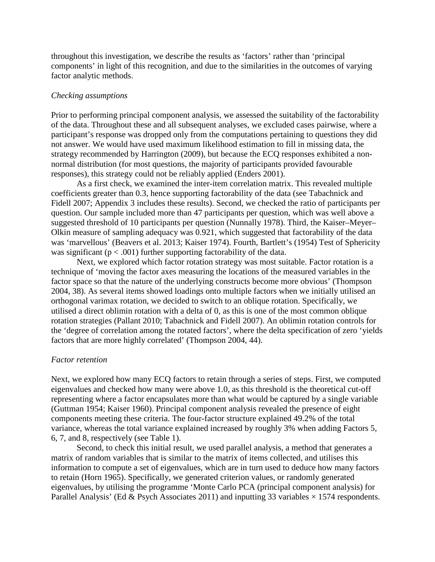throughout this investigation, we describe the results as 'factors' rather than 'principal components' in light of this recognition, and due to the similarities in the outcomes of varying factor analytic methods.

#### *Checking assumptions*

Prior to performing principal component analysis, we assessed the suitability of the factorability of the data. Throughout these and all subsequent analyses, we excluded cases pairwise, where a participant's response was dropped only from the computations pertaining to questions they did not answer. We would have used maximum likelihood estimation to fill in missing data, the strategy recommended by Harrington (2009), but because the ECQ responses exhibited a nonnormal distribution (for most questions, the majority of participants provided favourable responses), this strategy could not be reliably applied (Enders 2001).

As a first check, we examined the inter-item correlation matrix. This revealed multiple coefficients greater than 0.3, hence supporting factorability of the data (see Tabachnick and Fidell 2007; Appendix 3 includes these results). Second, we checked the ratio of participants per question. Our sample included more than 47 participants per question, which was well above a suggested threshold of 10 participants per question (Nunnally 1978). Third, the Kaiser–Meyer– Olkin measure of sampling adequacy was 0.921, which suggested that factorability of the data was 'marvellous' (Beavers et al. 2013; Kaiser 1974). Fourth, Bartlett's (1954) Test of Sphericity was significant ( $p < .001$ ) further supporting factorability of the data.

Next, we explored which factor rotation strategy was most suitable. Factor rotation is a technique of 'moving the factor axes measuring the locations of the measured variables in the factor space so that the nature of the underlying constructs become more obvious' (Thompson 2004, 38). As several items showed loadings onto multiple factors when we initially utilised an orthogonal varimax rotation, we decided to switch to an oblique rotation. Specifically, we utilised a direct oblimin rotation with a delta of 0, as this is one of the most common oblique rotation strategies (Pallant 2010; Tabachnick and Fidell 2007). An oblimin rotation controls for the 'degree of correlation among the rotated factors', where the delta specification of zero 'yields factors that are more highly correlated' (Thompson 2004, 44).

#### *Factor retention*

Next, we explored how many ECQ factors to retain through a series of steps. First, we computed eigenvalues and checked how many were above 1.0, as this threshold is the theoretical cut-off representing where a factor encapsulates more than what would be captured by a single variable (Guttman 1954; Kaiser 1960). Principal component analysis revealed the presence of eight components meeting these criteria. The four-factor structure explained 49.2% of the total variance, whereas the total variance explained increased by roughly 3% when adding Factors 5, 6, 7, and 8, respectively (see Table 1).

Second, to check this initial result, we used parallel analysis, a method that generates a matrix of random variables that is similar to the matrix of items collected, and utilises this information to compute a set of eigenvalues, which are in turn used to deduce how many factors to retain (Horn 1965). Specifically, we generated criterion values, or randomly generated eigenvalues, by utilising the programme 'Monte Carlo PCA (principal component analysis) for Parallel Analysis' (Ed & Psych Associates 2011) and inputting 33 variables  $\times$  1574 respondents.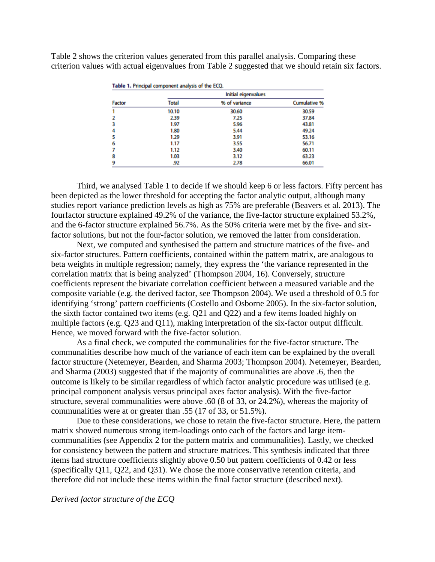Table 2 shows the criterion values generated from this parallel analysis. Comparing these criterion values with actual eigenvalues from Table 2 suggested that we should retain six factors.

|        |              | Initial eigenvalues |              |  |  |  |  |  |  |  |  |  |  |
|--------|--------------|---------------------|--------------|--|--|--|--|--|--|--|--|--|--|
| Factor | <b>Total</b> | % of variance       | Cumulative % |  |  |  |  |  |  |  |  |  |  |
|        | 10.10        | 30.60               | 30.59        |  |  |  |  |  |  |  |  |  |  |
| 7      | 2.39         | 7.25                | 37.84        |  |  |  |  |  |  |  |  |  |  |
|        | 1.97         | 5.96                | 43.81        |  |  |  |  |  |  |  |  |  |  |
|        | 1.80         | 5.44                | 49.24        |  |  |  |  |  |  |  |  |  |  |
| 5      | 1.29         | 3.91                | 53.16        |  |  |  |  |  |  |  |  |  |  |
| 6      | 1.17         | 3.55                | 56.71        |  |  |  |  |  |  |  |  |  |  |
|        | 1.12         | 3.40                | 60.11        |  |  |  |  |  |  |  |  |  |  |
| 8      | 1.03         | 3.12                | 63.23        |  |  |  |  |  |  |  |  |  |  |
| 9      | .92          | 2.78                | 66.01        |  |  |  |  |  |  |  |  |  |  |

Table 1. Principal component analysis of the ECO

Third, we analysed Table 1 to decide if we should keep 6 or less factors. Fifty percent has been depicted as the lower threshold for accepting the factor analytic output, although many studies report variance prediction levels as high as 75% are preferable (Beavers et al. 2013). The fourfactor structure explained 49.2% of the variance, the five-factor structure explained 53.2%, and the 6-factor structure explained 56.7%. As the 50% criteria were met by the five- and sixfactor solutions, but not the four-factor solution, we removed the latter from consideration.

Next, we computed and synthesised the pattern and structure matrices of the five- and six-factor structures. Pattern coefficients, contained within the pattern matrix, are analogous to beta weights in multiple regression; namely, they express the 'the variance represented in the correlation matrix that is being analyzed' (Thompson 2004, 16). Conversely, structure coefficients represent the bivariate correlation coefficient between a measured variable and the composite variable (e.g. the derived factor, see Thompson 2004). We used a threshold of 0.5 for identifying 'strong' pattern coefficients (Costello and Osborne 2005). In the six-factor solution, the sixth factor contained two items (e.g. Q21 and Q22) and a few items loaded highly on multiple factors (e.g. Q23 and Q11), making interpretation of the six-factor output difficult. Hence, we moved forward with the five-factor solution.

As a final check, we computed the communalities for the five-factor structure. The communalities describe how much of the variance of each item can be explained by the overall factor structure (Netemeyer, Bearden, and Sharma 2003; Thompson 2004). Netemeyer, Bearden, and Sharma (2003) suggested that if the majority of communalities are above .6, then the outcome is likely to be similar regardless of which factor analytic procedure was utilised (e.g. principal component analysis versus principal axes factor analysis). With the five-factor structure, several communalities were above .60 (8 of 33, or 24.2%), whereas the majority of communalities were at or greater than .55 (17 of 33, or 51.5%).

Due to these considerations, we chose to retain the five-factor structure. Here, the pattern matrix showed numerous strong item-loadings onto each of the factors and large itemcommunalities (see Appendix 2 for the pattern matrix and communalities). Lastly, we checked for consistency between the pattern and structure matrices. This synthesis indicated that three items had structure coefficients slightly above 0.50 but pattern coefficients of 0.42 or less (specifically Q11, Q22, and Q31). We chose the more conservative retention criteria, and therefore did not include these items within the final factor structure (described next).

*Derived factor structure of the ECQ*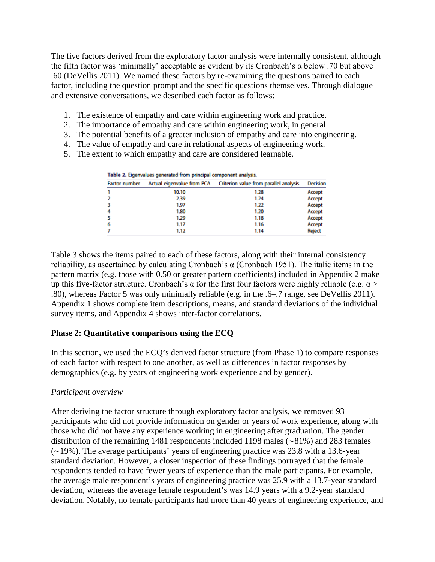The five factors derived from the exploratory factor analysis were internally consistent, although the fifth factor was 'minimally' acceptable as evident by its Cronbach's α below .70 but above .60 (DeVellis 2011). We named these factors by re-examining the questions paired to each factor, including the question prompt and the specific questions themselves. Through dialogue and extensive conversations, we described each factor as follows:

- 1. The existence of empathy and care within engineering work and practice.
- 2. The importance of empathy and care within engineering work, in general.
- 3. The potential benefits of a greater inclusion of empathy and care into engineering.
- 4. The value of empathy and care in relational aspects of engineering work.
- 5. The extent to which empathy and care are considered learnable.

| <b>Factor number</b> |       | Actual eigenvalue from PCA  Criterion value from parallel analysis | <b>Decision</b> |
|----------------------|-------|--------------------------------------------------------------------|-----------------|
|                      | 10.10 | 1.28                                                               | Accept          |
|                      | 2.39  | 1.24                                                               | Accept          |
|                      | 1.97  | 1.22                                                               | Accept          |
|                      | 1.80  | 1.20                                                               | Accept          |
|                      | 1.29  | 1.18                                                               | Accept          |
|                      | 1.17  | 1.16                                                               | Accept          |
|                      | 1.12  | 1.14                                                               | <b>Reject</b>   |

Table 3 shows the items paired to each of these factors, along with their internal consistency reliability, as ascertained by calculating Cronbach's  $\alpha$  (Cronbach 1951). The italic items in the pattern matrix (e.g. those with 0.50 or greater pattern coefficients) included in Appendix 2 make up this five-factor structure. Cronbach's  $\alpha$  for the first four factors were highly reliable (e.g.  $\alpha$  > .80), whereas Factor 5 was only minimally reliable (e.g. in the .6–.7 range, see DeVellis 2011). Appendix 1 shows complete item descriptions, means, and standard deviations of the individual survey items, and Appendix 4 shows inter-factor correlations.

## **Phase 2: Quantitative comparisons using the ECQ**

In this section, we used the ECQ's derived factor structure (from Phase 1) to compare responses of each factor with respect to one another, as well as differences in factor responses by demographics (e.g. by years of engineering work experience and by gender).

## *Participant overview*

After deriving the factor structure through exploratory factor analysis, we removed 93 participants who did not provide information on gender or years of work experience, along with those who did not have any experience working in engineering after graduation. The gender distribution of the remaining 1481 respondents included 1198 males (∼81%) and 283 females (∼19%). The average participants' years of engineering practice was 23.8 with a 13.6-year standard deviation. However, a closer inspection of these findings portrayed that the female respondents tended to have fewer years of experience than the male participants. For example, the average male respondent's years of engineering practice was 25.9 with a 13.7-year standard deviation, whereas the average female respondent's was 14.9 years with a 9.2-year standard deviation. Notably, no female participants had more than 40 years of engineering experience, and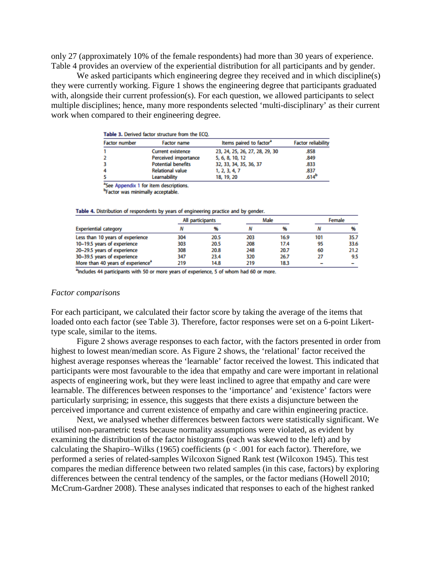only 27 (approximately 10% of the female respondents) had more than 30 years of experience. Table 4 provides an overview of the experiential distribution for all participants and by gender.

We asked participants which engineering degree they received and in which discipline(s) they were currently working. Figure 1 shows the engineering degree that participants graduated with, alongside their current profession(s). For each question, we allowed participants to select multiple disciplines; hence, many more respondents selected 'multi-disciplinary' as their current work when compared to their engineering degree.

| <b>Factor number</b> | <b>Factor name</b>        | Items paired to factor <sup>a</sup> | <b>Factor reliability</b> |
|----------------------|---------------------------|-------------------------------------|---------------------------|
|                      | <b>Current existence</b>  | 23, 24, 25, 26, 27, 28, 29, 30      | .858                      |
|                      | Perceived importance      | 5, 6, 8, 10, 12                     | .849                      |
|                      | <b>Potential benefits</b> | 32, 33, 34, 35, 36, 37              | .833                      |
|                      | <b>Relational value</b>   | 1, 2, 3, 4, 7                       | .837                      |
|                      | Learnability              | 18, 19, 20                          | $.614^{b}$                |

<sup>a</sup>See Appendix 1 for item descriptions.

<sup>b</sup>Factor was minimally acceptable.

Table 4. Distribution of respondents by years of engineering practice and by gender.

|                                   |     | All participants |     | Male | Female |      |  |  |  |
|-----------------------------------|-----|------------------|-----|------|--------|------|--|--|--|
| <b>Experiential category</b>      |     |                  |     |      |        |      |  |  |  |
| Less than 10 years of experience  | 304 | 20.5             | 203 | 16.9 | 101    | 35.7 |  |  |  |
| 10-19.5 years of experience       | 303 | 20.5             | 208 | 17.4 | 95     | 33.6 |  |  |  |
| 20-29.5 years of experience       | 308 | 20.8             | 248 | 20.7 | 60     | 21.2 |  |  |  |
| 30-39.5 years of experience       | 347 | 23.4             | 320 | 26.7 | 27     | 9.5  |  |  |  |
| More than 40 years of experience" | 219 | 14.8             | 219 | 18.3 |        |      |  |  |  |

<sup>a</sup>Includes 44 participants with 50 or more years of experience, 5 of whom had 60 or more.

#### *Factor comparisons*

For each participant, we calculated their factor score by taking the average of the items that loaded onto each factor (see Table 3). Therefore, factor responses were set on a 6-point Likerttype scale, similar to the items.

Figure 2 shows average responses to each factor, with the factors presented in order from highest to lowest mean/median score. As Figure 2 shows, the 'relational' factor received the highest average responses whereas the 'learnable' factor received the lowest. This indicated that participants were most favourable to the idea that empathy and care were important in relational aspects of engineering work, but they were least inclined to agree that empathy and care were learnable. The differences between responses to the 'importance' and 'existence' factors were particularly surprising; in essence, this suggests that there exists a disjuncture between the perceived importance and current existence of empathy and care within engineering practice.

Next, we analysed whether differences between factors were statistically significant. We utilised non-parametric tests because normality assumptions were violated, as evident by examining the distribution of the factor histograms (each was skewed to the left) and by calculating the Shapiro–Wilks (1965) coefficients ( $p < .001$  for each factor). Therefore, we performed a series of related-samples Wilcoxon Signed Rank test (Wilcoxon 1945). This test compares the median difference between two related samples (in this case, factors) by exploring differences between the central tendency of the samples, or the factor medians (Howell 2010; McCrum-Gardner 2008). These analyses indicated that responses to each of the highest ranked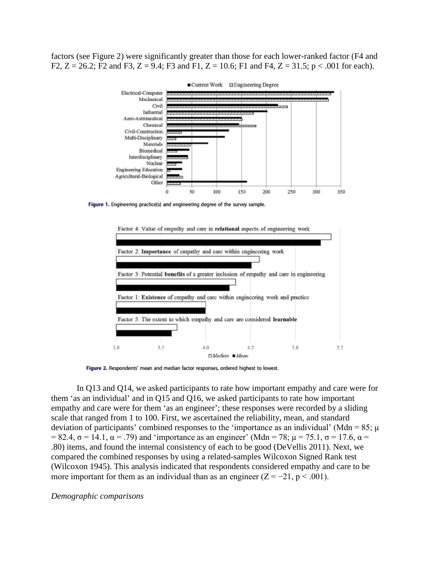factors (see Figure 2) were significantly greater than those for each lower-ranked factor (F4 and F2,  $Z = 26.2$ ; F2 and F3,  $Z = 9.4$ ; F3 and F1,  $Z = 10.6$ ; F1 and F4,  $Z = 31.5$ ; p < .001 for each).



Figure 1. Engineering practice(s) and engineering degree of the survey sample.



Figure 2. Respondents' mean and median factor responses, ordered highest to lowest.

In Q13 and Q14, we asked participants to rate how important empathy and care were for them 'as an individual' and in Q15 and Q16, we asked participants to rate how important empathy and care were for them 'as an engineer'; these responses were recorded by a sliding scale that ranged from 1 to 100. First, we ascertained the reliability, mean, and standard deviation of participants' combined responses to the 'importance as an individual' (Mdn =  $85$ ;  $\mu$ ) = 82.4,  $\sigma$  = 14.1,  $\alpha$  = .79) and 'importance as an engineer' (Mdn = 78;  $\mu$  = 75.1,  $\sigma$  = 17.6,  $\alpha$  = .80) items, and found the internal consistency of each to be good (DeVellis 2011). Next, we compared the combined responses by using a related-samples Wilcoxon Signed Rank test (Wilcoxon 1945). This analysis indicated that respondents considered empathy and care to be more important for them as an individual than as an engineer  $(Z = -21, p < .001)$ .

*Demographic comparisons*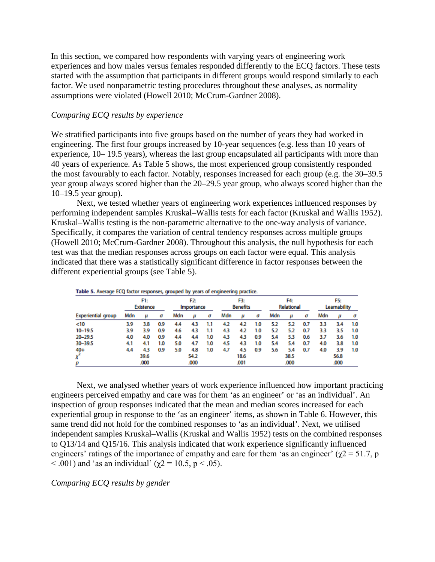In this section, we compared how respondents with varying years of engineering work experiences and how males versus females responded differently to the ECQ factors. These tests started with the assumption that participants in different groups would respond similarly to each factor. We used nonparametric testing procedures throughout these analyses, as normality assumptions were violated (Howell 2010; McCrum-Gardner 2008).

### *Comparing ECQ results by experience*

We stratified participants into five groups based on the number of years they had worked in engineering. The first four groups increased by 10-year sequences (e.g. less than 10 years of experience, 10– 19.5 years), whereas the last group encapsulated all participants with more than 40 years of experience. As Table 5 shows, the most experienced group consistently responded the most favourably to each factor. Notably, responses increased for each group (e.g. the 30–39.5 year group always scored higher than the 20–29.5 year group, who always scored higher than the 10–19.5 year group).

Next, we tested whether years of engineering work experiences influenced responses by performing independent samples Kruskal–Wallis tests for each factor (Kruskal and Wallis 1952). Kruskal–Wallis testing is the non-parametric alternative to the one-way analysis of variance. Specifically, it compares the variation of central tendency responses across multiple groups (Howell 2010; McCrum-Gardner 2008). Throughout this analysis, the null hypothesis for each test was that the median responses across groups on each factor were equal. This analysis indicated that there was a statistically significant difference in factor responses between the different experiential groups (see Table 5).

|                           |     | F1:<br><b>Existence</b> |     |     | F <sub>2</sub><br>Importance |     |     | F3:<br><b>Benefits</b> |     |     | F4:<br><b>Relational</b> |     | F5:<br>Learnability |      |     |
|---------------------------|-----|-------------------------|-----|-----|------------------------------|-----|-----|------------------------|-----|-----|--------------------------|-----|---------------------|------|-----|
| <b>Experiential group</b> | Mdn | Ш                       | σ   | Mdn | Ш                            | σ   | Mdn | Ц                      | σ   | Mdn | u                        | σ   | Mdn                 | Ш    | σ   |
| $10$                      | 3.9 | 3.8                     | 0.9 | 4.4 | 4.3                          | 1.1 | 4.2 | 4.2                    | 1.0 | 5.2 | 52                       | 0.7 | 3.3                 | 3.4  | 1.0 |
| $10 - 19.5$               | 3.9 | 3.9                     | 0.9 | 4.6 | 4.3                          | 1.1 | 43  | 4.2                    | 1.0 | 5.2 | 5.2                      | 0.7 | 3.3                 | 3.5  | 1.0 |
| 20-29.5                   | 4.0 | 4.0                     | 0.9 | 4.4 | 4.4                          | 1.0 | 4.3 | 4.3                    | 0.9 | 5.4 | 53                       | 0.6 | 3.7                 | 3.6  | 1.0 |
| 30-39.5                   | 4.1 | 4.1                     | 1.0 | 5.0 | 4.7                          | 1.0 | 4.5 | 4.3                    | 1.0 | 5.4 | 5.4                      | 0.7 | 4.0                 | 3.8  | 1.0 |
| $40+$                     | 4.4 | 4.3                     | 0.9 | 5.0 | 4.8                          | 1.0 | 4.7 | 4.5                    | 0.9 | 5.6 | 5.4                      | 0.7 | 4.0                 | 3.9  | 1.0 |
| x                         |     | 39.6                    |     |     | 54.2                         |     |     | 18.6                   |     |     | 38.5                     |     |                     | 56.8 |     |
| р                         |     | .000                    |     |     | .000                         |     |     | .001                   |     |     | .000                     |     |                     | .000 |     |

|  |  | Table 5. Average ECQ factor responses, grouped by years of engineering practice. |
|--|--|----------------------------------------------------------------------------------|
|  |  |                                                                                  |

Next, we analysed whether years of work experience influenced how important practicing engineers perceived empathy and care was for them 'as an engineer' or 'as an individual'. An inspection of group responses indicated that the mean and median scores increased for each experiential group in response to the 'as an engineer' items, as shown in Table 6. However, this same trend did not hold for the combined responses to 'as an individual'. Next, we utilised independent samples Kruskal–Wallis (Kruskal and Wallis 1952) tests on the combined responses to Q13/14 and Q15/16. This analysis indicated that work experience significantly influenced engineers' ratings of the importance of empathy and care for them 'as an engineer' ( $\gamma$ 2 = 51.7, p  $< .001$ ) and 'as an individual' (χ2 = 10.5, p  $< .05$ ).

## *Comparing ECQ results by gender*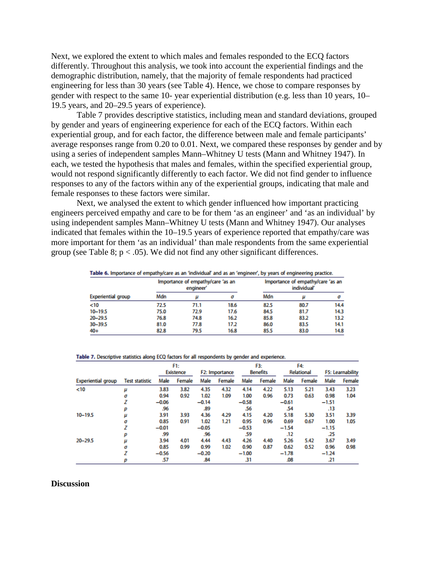Next, we explored the extent to which males and females responded to the ECQ factors differently. Throughout this analysis, we took into account the experiential findings and the demographic distribution, namely, that the majority of female respondents had practiced engineering for less than 30 years (see Table 4). Hence, we chose to compare responses by gender with respect to the same 10- year experiential distribution (e.g. less than 10 years, 10– 19.5 years, and 20–29.5 years of experience).

Table 7 provides descriptive statistics, including mean and standard deviations, grouped by gender and years of engineering experience for each of the ECQ factors. Within each experiential group, and for each factor, the difference between male and female participants' average responses range from 0.20 to 0.01. Next, we compared these responses by gender and by using a series of independent samples Mann–Whitney U tests (Mann and Whitney 1947). In each, we tested the hypothesis that males and females, within the specified experiential group, would not respond significantly differently to each factor. We did not find gender to influence responses to any of the factors within any of the experiential groups, indicating that male and female responses to these factors were similar.

Next, we analysed the extent to which gender influenced how important practicing engineers perceived empathy and care to be for them 'as an engineer' and 'as an individual' by using independent samples Mann–Whitney U tests (Mann and Whitney 1947). Our analyses indicated that females within the 10–19.5 years of experience reported that empathy/care was more important for them 'as an individual' than male respondents from the same experiential group (see Table 8;  $p < .05$ ). We did not find any other significant differences.

Table 6. Importance of empathy/care as an 'individual' and as an 'engineer', by years of engineering practice.

|                           |      | Importance of empathy/care 'as an<br>engineer' |      |      | Importance of empathy/care 'as an<br>individual' |      |
|---------------------------|------|------------------------------------------------|------|------|--------------------------------------------------|------|
| <b>Experiential group</b> | Mdn  |                                                | σ    | Mdn  |                                                  |      |
| $10$                      | 72.5 | 71.1                                           | 18.6 | 82.5 | 80.7                                             | 14.4 |
| $10 - 19.5$               | 75.0 | 72.9                                           | 17.6 | 84.5 | 81.7                                             | 14.3 |
| 20-29.5                   | 76.8 | 74.8                                           | 16.2 | 85.8 | 83.2                                             | 13.2 |
| 30-39.5                   | 81.0 | 77.8                                           | 17.2 | 86.0 | 83.5                                             | 14.1 |
| $40+$                     | 82.8 | 79.5                                           | 16.8 | 85.5 | 83.0                                             | 14.8 |

Table 7. Descriptive statistics along ECQ factors for all respondents by gender and experience.

|                           |                       |         | F1:<br>Existence |         | F2: Importance |         | F3:<br><b>Benefits</b> |         | F4:<br><b>Relational</b> | <b>F5: Learnability</b> |        |  |
|---------------------------|-----------------------|---------|------------------|---------|----------------|---------|------------------------|---------|--------------------------|-------------------------|--------|--|
| <b>Experiential group</b> | <b>Test statistic</b> | Male    | Female           | Male    | Female         | Male    | Female                 | Male    | Female                   | Male                    | Female |  |
| < 10                      | μ                     | 3.83    | 3.82             | 4.35    | 4.32           | 4.14    | 4.22                   | 5.13    | 5.21                     | 3.43                    | 3.23   |  |
|                           | σ                     | 0.94    | 0.92             | 1.02    | 1.09           | 1.00    | 0.96                   | 0.73    | 0.63                     | 0.98                    | 1.04   |  |
|                           |                       | $-0.06$ |                  | $-0.14$ |                | $-0.58$ |                        | $-0.61$ |                          | $-1.51$                 |        |  |
|                           | p                     | .96     |                  | .89     |                | .56     |                        | .54     |                          | .13                     |        |  |
| $10 - 19.5$               | μ                     | 3.91    | 3.93             | 4.36    | 4.29           | 4.15    | 4.20                   | 5.18    | 5.30                     | 3.51                    | 3.39   |  |
|                           | σ                     | 0.85    | 0.91             | 1.02    | 1.21           | 0.95    | 0.96                   | 0.69    | 0.67                     | 1.00                    | 1.05   |  |
|                           |                       | $-0.01$ |                  | $-0.05$ |                | $-0.53$ |                        | $-1.54$ |                          | $-1.15$                 |        |  |
|                           | р                     | .99     |                  | .96     |                | .59     |                        | .12     |                          | .25                     |        |  |
| $20 - 29.5$               | μ                     | 3.94    | 4.01             | 4.44    | 4.43           | 4.26    | 4.40                   | 5.26    | 5.42                     | 3.67                    | 3.49   |  |
|                           | σ                     | 0.85    | 0.99             | 0.99    | 1.02           | 0.90    | 0.87                   | 0.62    | 0.52                     | 0.96                    | 0.98   |  |
|                           |                       | $-0.56$ |                  | $-0.20$ |                | $-1.00$ |                        | $-1.78$ |                          | $-1.24$                 |        |  |
|                           | р                     | .57     |                  | .84     |                | .31     |                        | .08     |                          | .21                     |        |  |

#### **Discussion**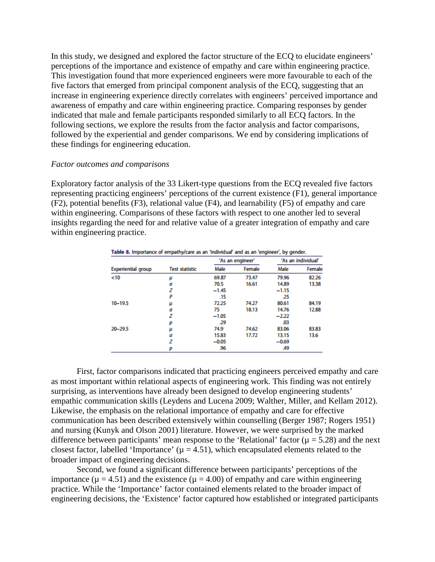In this study, we designed and explored the factor structure of the ECQ to elucidate engineers' perceptions of the importance and existence of empathy and care within engineering practice. This investigation found that more experienced engineers were more favourable to each of the five factors that emerged from principal component analysis of the ECQ, suggesting that an increase in engineering experience directly correlates with engineers' perceived importance and awareness of empathy and care within engineering practice. Comparing responses by gender indicated that male and female participants responded similarly to all ECQ factors. In the following sections, we explore the results from the factor analysis and factor comparisons, followed by the experiential and gender comparisons. We end by considering implications of these findings for engineering education.

### *Factor outcomes and comparisons*

Exploratory factor analysis of the 33 Likert-type questions from the ECQ revealed five factors representing practicing engineers' perceptions of the current existence (F1), general importance (F2), potential benefits (F3), relational value (F4), and learnability (F5) of empathy and care within engineering. Comparisons of these factors with respect to one another led to several insights regarding the need for and relative value of a greater integration of empathy and care within engineering practice.

|                           |                       |         | 'As an engineer' | 'As an individual' |        |  |  |
|---------------------------|-----------------------|---------|------------------|--------------------|--------|--|--|
| <b>Experiential group</b> | <b>Test statistic</b> | Male    | Female           | Male               | Female |  |  |
| $10$                      | μ                     | 69.87   | 73.47            | 79.96              | 82.26  |  |  |
|                           | σ                     | 70.5    | 16.61            | 14.89              | 13.38  |  |  |
|                           | z                     | $-1.45$ |                  | $-1.15$            |        |  |  |
|                           | P                     | .15     |                  | .25                |        |  |  |
| $10 - 19.5$               | μ                     | 72.25   | 74.27            | 80.61              | 84.19  |  |  |
|                           | σ                     | 75      | 18.13            | 14.76              | 12.88  |  |  |
|                           | 7                     | $-1.05$ |                  | $-2.22$            |        |  |  |
|                           | D                     | .29     |                  | .03                |        |  |  |
| $20 - 29.5$               | μ                     | 74.9    | 74.62            | 83.06              | 83.83  |  |  |
|                           | σ                     | 15.83   | 17.72            | 13.15              | 13.6   |  |  |
|                           |                       | $-0.05$ |                  | $-0.69$            |        |  |  |
|                           |                       | .96     |                  | .49                |        |  |  |

First, factor comparisons indicated that practicing engineers perceived empathy and care as most important within relational aspects of engineering work. This finding was not entirely surprising, as interventions have already been designed to develop engineering students' empathic communication skills (Leydens and Lucena 2009; Walther, Miller, and Kellam 2012). Likewise, the emphasis on the relational importance of empathy and care for effective communication has been described extensively within counselling (Berger 1987; Rogers 1951) and nursing (Kunyk and Olson 2001) literature. However, we were surprised by the marked difference between participants' mean response to the 'Relational' factor ( $\mu$  = 5.28) and the next closest factor, labelled 'Importance' ( $\mu = 4.51$ ), which encapsulated elements related to the broader impact of engineering decisions.

Second, we found a significant difference between participants' perceptions of the importance ( $\mu = 4.51$ ) and the existence ( $\mu = 4.00$ ) of empathy and care within engineering practice. While the 'Importance' factor contained elements related to the broader impact of engineering decisions, the 'Existence' factor captured how established or integrated participants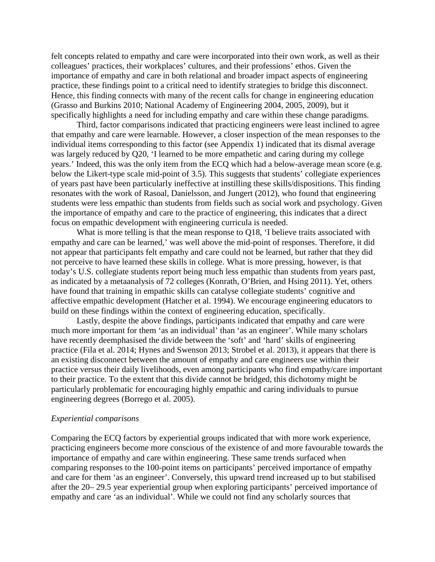felt concepts related to empathy and care were incorporated into their own work, as well as their colleagues' practices, their workplaces' cultures, and their professions' ethos. Given the importance of empathy and care in both relational and broader impact aspects of engineering practice, these findings point to a critical need to identify strategies to bridge this disconnect. Hence, this finding connects with many of the recent calls for change in engineering education (Grasso and Burkins 2010; National Academy of Engineering 2004, 2005, 2009), but it specifically highlights a need for including empathy and care within these change paradigms.

Third, factor comparisons indicated that practicing engineers were least inclined to agree that empathy and care were learnable. However, a closer inspection of the mean responses to the individual items corresponding to this factor (see Appendix 1) indicated that its dismal average was largely reduced by Q20, 'I learned to be more empathetic and caring during my college years.' Indeed, this was the only item from the ECQ which had a below-average mean score (e.g. below the Likert-type scale mid-point of 3.5). This suggests that students' collegiate experiences of years past have been particularly ineffective at instilling these skills/dispositions. This finding resonates with the work of Rasoal, Danielsson, and Jungert (2012), who found that engineering students were less empathic than students from fields such as social work and psychology. Given the importance of empathy and care to the practice of engineering, this indicates that a direct focus on empathic development with engineering curricula is needed.

What is more telling is that the mean response to Q18, 'I believe traits associated with empathy and care can be learned,' was well above the mid-point of responses. Therefore, it did not appear that participants felt empathy and care could not be learned, but rather that they did not perceive to have learned these skills in college. What is more pressing, however, is that today's U.S. collegiate students report being much less empathic than students from years past, as indicated by a metaanalysis of 72 colleges (Konrath, O'Brien, and Hsing 2011). Yet, others have found that training in empathic skills can catalyse collegiate students' cognitive and affective empathic development (Hatcher et al. 1994). We encourage engineering educators to build on these findings within the context of engineering education, specifically.

Lastly, despite the above findings, participants indicated that empathy and care were much more important for them 'as an individual' than 'as an engineer'. While many scholars have recently deemphasised the divide between the 'soft' and 'hard' skills of engineering practice (Fila et al. 2014; Hynes and Swenson 2013; Strobel et al. 2013), it appears that there is an existing disconnect between the amount of empathy and care engineers use within their practice versus their daily livelihoods, even among participants who find empathy/care important to their practice. To the extent that this divide cannot be bridged, this dichotomy might be particularly problematic for encouraging highly empathic and caring individuals to pursue engineering degrees (Borrego et al. 2005).

### *Experiential comparisons*

Comparing the ECQ factors by experiential groups indicated that with more work experience, practicing engineers become more conscious of the existence of and more favourable towards the importance of empathy and care within engineering. These same trends surfaced when comparing responses to the 100-point items on participants' perceived importance of empathy and care for them 'as an engineer'. Conversely, this upward trend increased up to but stabilised after the 20– 29.5 year experiential group when exploring participants' perceived importance of empathy and care 'as an individual'. While we could not find any scholarly sources that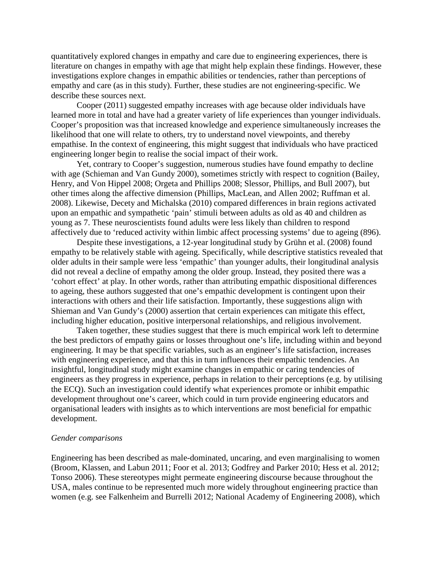quantitatively explored changes in empathy and care due to engineering experiences, there is literature on changes in empathy with age that might help explain these findings. However, these investigations explore changes in empathic abilities or tendencies, rather than perceptions of empathy and care (as in this study). Further, these studies are not engineering-specific. We describe these sources next.

Cooper (2011) suggested empathy increases with age because older individuals have learned more in total and have had a greater variety of life experiences than younger individuals. Cooper's proposition was that increased knowledge and experience simultaneously increases the likelihood that one will relate to others, try to understand novel viewpoints, and thereby empathise. In the context of engineering, this might suggest that individuals who have practiced engineering longer begin to realise the social impact of their work.

Yet, contrary to Cooper's suggestion, numerous studies have found empathy to decline with age (Schieman and Van Gundy 2000), sometimes strictly with respect to cognition (Bailey, Henry, and Von Hippel 2008; Orgeta and Phillips 2008; Slessor, Phillips, and Bull 2007), but other times along the affective dimension (Phillips, MacLean, and Allen 2002; Ruffman et al. 2008). Likewise, Decety and Michalska (2010) compared differences in brain regions activated upon an empathic and sympathetic 'pain' stimuli between adults as old as 40 and children as young as 7. These neuroscientists found adults were less likely than children to respond affectively due to 'reduced activity within limbic affect processing systems' due to ageing (896).

Despite these investigations, a 12-year longitudinal study by Grühn et al. (2008) found empathy to be relatively stable with ageing. Specifically, while descriptive statistics revealed that older adults in their sample were less 'empathic' than younger adults, their longitudinal analysis did not reveal a decline of empathy among the older group. Instead, they posited there was a 'cohort effect' at play. In other words, rather than attributing empathic dispositional differences to ageing, these authors suggested that one's empathic development is contingent upon their interactions with others and their life satisfaction. Importantly, these suggestions align with Shieman and Van Gundy's (2000) assertion that certain experiences can mitigate this effect, including higher education, positive interpersonal relationships, and religious involvement.

Taken together, these studies suggest that there is much empirical work left to determine the best predictors of empathy gains or losses throughout one's life, including within and beyond engineering. It may be that specific variables, such as an engineer's life satisfaction, increases with engineering experience, and that this in turn influences their empathic tendencies. An insightful, longitudinal study might examine changes in empathic or caring tendencies of engineers as they progress in experience, perhaps in relation to their perceptions (e.g. by utilising the ECQ). Such an investigation could identify what experiences promote or inhibit empathic development throughout one's career, which could in turn provide engineering educators and organisational leaders with insights as to which interventions are most beneficial for empathic development.

#### *Gender comparisons*

Engineering has been described as male-dominated, uncaring, and even marginalising to women (Broom, Klassen, and Labun 2011; Foor et al. 2013; Godfrey and Parker 2010; Hess et al. 2012; Tonso 2006). These stereotypes might permeate engineering discourse because throughout the USA, males continue to be represented much more widely throughout engineering practice than women (e.g. see Falkenheim and Burrelli 2012; National Academy of Engineering 2008), which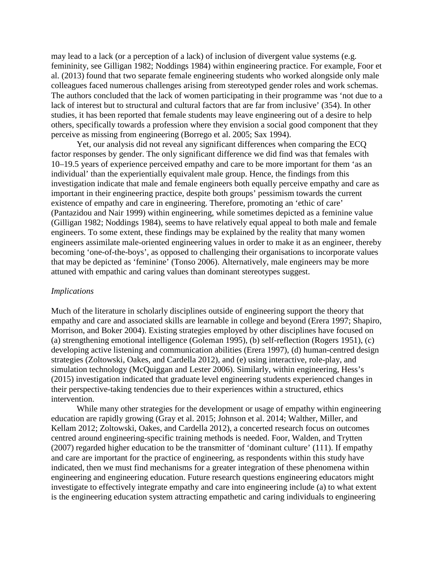may lead to a lack (or a perception of a lack) of inclusion of divergent value systems (e.g. femininity, see Gilligan 1982; Noddings 1984) within engineering practice. For example, Foor et al. (2013) found that two separate female engineering students who worked alongside only male colleagues faced numerous challenges arising from stereotyped gender roles and work schemas. The authors concluded that the lack of women participating in their programme was 'not due to a lack of interest but to structural and cultural factors that are far from inclusive' (354). In other studies, it has been reported that female students may leave engineering out of a desire to help others, specifically towards a profession where they envision a social good component that they perceive as missing from engineering (Borrego et al. 2005; Sax 1994).

Yet, our analysis did not reveal any significant differences when comparing the ECQ factor responses by gender. The only significant difference we did find was that females with 10–19.5 years of experience perceived empathy and care to be more important for them 'as an individual' than the experientially equivalent male group. Hence, the findings from this investigation indicate that male and female engineers both equally perceive empathy and care as important in their engineering practice, despite both groups' pessimism towards the current existence of empathy and care in engineering. Therefore, promoting an 'ethic of care' (Pantazidou and Nair 1999) within engineering, while sometimes depicted as a feminine value (Gilligan 1982; Noddings 1984), seems to have relatively equal appeal to both male and female engineers. To some extent, these findings may be explained by the reality that many women engineers assimilate male-oriented engineering values in order to make it as an engineer, thereby becoming 'one-of-the-boys', as opposed to challenging their organisations to incorporate values that may be depicted as 'feminine' (Tonso 2006). Alternatively, male engineers may be more attuned with empathic and caring values than dominant stereotypes suggest.

#### *Implications*

Much of the literature in scholarly disciplines outside of engineering support the theory that empathy and care and associated skills are learnable in college and beyond (Erera 1997; Shapiro, Morrison, and Boker 2004). Existing strategies employed by other disciplines have focused on (a) strengthening emotional intelligence (Goleman 1995), (b) self-reflection (Rogers 1951), (c) developing active listening and communication abilities (Erera 1997), (d) human-centred design strategies (Zoltowski, Oakes, and Cardella 2012), and (e) using interactive, role-play, and simulation technology (McQuiggan and Lester 2006). Similarly, within engineering, Hess's (2015) investigation indicated that graduate level engineering students experienced changes in their perspective-taking tendencies due to their experiences within a structured, ethics intervention.

While many other strategies for the development or usage of empathy within engineering education are rapidly growing (Gray et al. 2015; Johnson et al. 2014; Walther, Miller, and Kellam 2012; Zoltowski, Oakes, and Cardella 2012), a concerted research focus on outcomes centred around engineering-specific training methods is needed. Foor, Walden, and Trytten (2007) regarded higher education to be the transmitter of 'dominant culture' (111). If empathy and care are important for the practice of engineering, as respondents within this study have indicated, then we must find mechanisms for a greater integration of these phenomena within engineering and engineering education. Future research questions engineering educators might investigate to effectively integrate empathy and care into engineering include (a) to what extent is the engineering education system attracting empathetic and caring individuals to engineering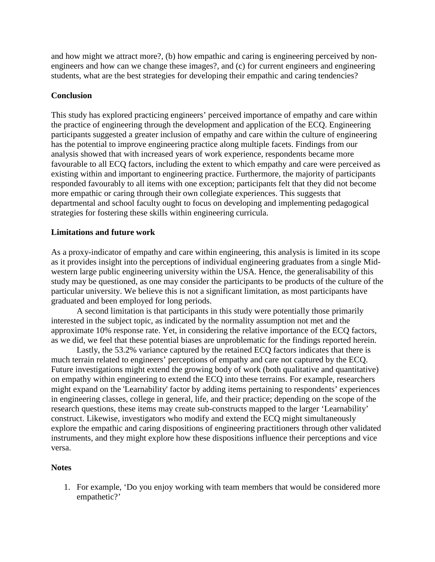and how might we attract more?, (b) how empathic and caring is engineering perceived by nonengineers and how can we change these images?, and (c) for current engineers and engineering students, what are the best strategies for developing their empathic and caring tendencies?

## **Conclusion**

This study has explored practicing engineers' perceived importance of empathy and care within the practice of engineering through the development and application of the ECQ. Engineering participants suggested a greater inclusion of empathy and care within the culture of engineering has the potential to improve engineering practice along multiple facets. Findings from our analysis showed that with increased years of work experience, respondents became more favourable to all ECQ factors, including the extent to which empathy and care were perceived as existing within and important to engineering practice. Furthermore, the majority of participants responded favourably to all items with one exception; participants felt that they did not become more empathic or caring through their own collegiate experiences. This suggests that departmental and school faculty ought to focus on developing and implementing pedagogical strategies for fostering these skills within engineering curricula.

## **Limitations and future work**

As a proxy-indicator of empathy and care within engineering, this analysis is limited in its scope as it provides insight into the perceptions of individual engineering graduates from a single Midwestern large public engineering university within the USA. Hence, the generalisability of this study may be questioned, as one may consider the participants to be products of the culture of the particular university. We believe this is not a significant limitation, as most participants have graduated and been employed for long periods.

A second limitation is that participants in this study were potentially those primarily interested in the subject topic, as indicated by the normality assumption not met and the approximate 10% response rate. Yet, in considering the relative importance of the ECQ factors, as we did, we feel that these potential biases are unproblematic for the findings reported herein.

Lastly, the 53.2% variance captured by the retained ECQ factors indicates that there is much terrain related to engineers' perceptions of empathy and care not captured by the ECQ. Future investigations might extend the growing body of work (both qualitative and quantitative) on empathy within engineering to extend the ECQ into these terrains. For example, researchers might expand on the 'Learnability' factor by adding items pertaining to respondents' experiences in engineering classes, college in general, life, and their practice; depending on the scope of the research questions, these items may create sub-constructs mapped to the larger 'Learnability' construct. Likewise, investigators who modify and extend the ECQ might simultaneously explore the empathic and caring dispositions of engineering practitioners through other validated instruments, and they might explore how these dispositions influence their perceptions and vice versa.

## **Notes**

1. For example, 'Do you enjoy working with team members that would be considered more empathetic?'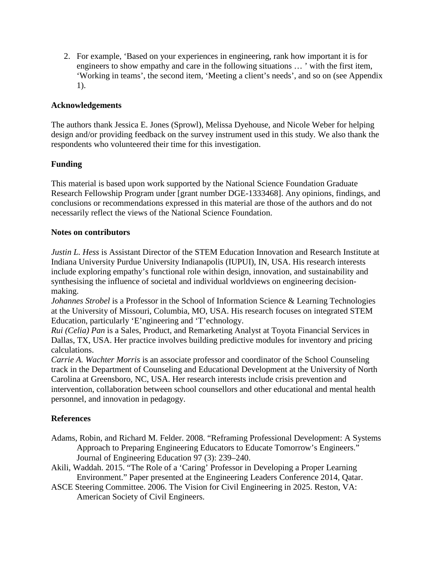2. For example, 'Based on your experiences in engineering, rank how important it is for engineers to show empathy and care in the following situations … ' with the first item, 'Working in teams', the second item, 'Meeting a client's needs', and so on (see Appendix 1).

## **Acknowledgements**

The authors thank Jessica E. Jones (Sprowl), Melissa Dyehouse, and Nicole Weber for helping design and/or providing feedback on the survey instrument used in this study. We also thank the respondents who volunteered their time for this investigation.

## **Funding**

This material is based upon work supported by the National Science Foundation Graduate Research Fellowship Program under [grant number DGE-1333468]. Any opinions, findings, and conclusions or recommendations expressed in this material are those of the authors and do not necessarily reflect the views of the National Science Foundation.

## **Notes on contributors**

*Justin L. Hess* is Assistant Director of the STEM Education Innovation and Research Institute at Indiana University Purdue University Indianapolis (IUPUI), IN, USA. His research interests include exploring empathy's functional role within design, innovation, and sustainability and synthesising the influence of societal and individual worldviews on engineering decisionmaking.

*Johannes Strobel* is a Professor in the School of Information Science & Learning Technologies at the University of Missouri, Columbia, MO, USA. His research focuses on integrated STEM Education, particularly 'E'ngineering and 'T'echnology.

*Rui (Celia) Pan* is a Sales, Product, and Remarketing Analyst at Toyota Financial Services in Dallas, TX, USA. Her practice involves building predictive modules for inventory and pricing calculations.

*Carrie A. Wachter Morris* is an associate professor and coordinator of the School Counseling track in the Department of Counseling and Educational Development at the University of North Carolina at Greensboro, NC, USA. Her research interests include crisis prevention and intervention, collaboration between school counsellors and other educational and mental health personnel, and innovation in pedagogy.

## **References**

- Adams, Robin, and Richard M. Felder. 2008. "Reframing Professional Development: A Systems Approach to Preparing Engineering Educators to Educate Tomorrow's Engineers." Journal of Engineering Education 97 (3): 239–240.
- Akili, Waddah. 2015. "The Role of a 'Caring' Professor in Developing a Proper Learning Environment." Paper presented at the Engineering Leaders Conference 2014, Qatar.
- ASCE Steering Committee. 2006. The Vision for Civil Engineering in 2025. Reston, VA: American Society of Civil Engineers.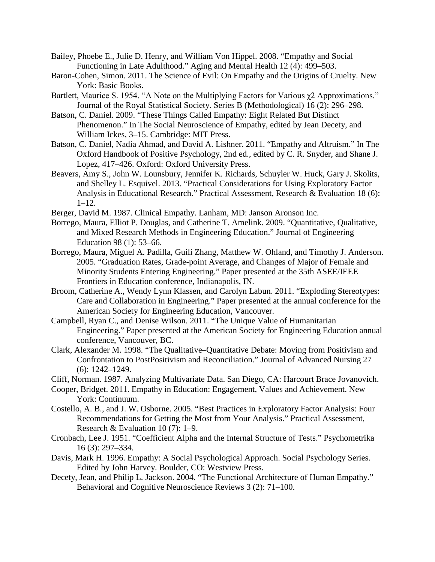- Bailey, Phoebe E., Julie D. Henry, and William Von Hippel. 2008. "Empathy and Social Functioning in Late Adulthood." Aging and Mental Health 12 (4): 499–503.
- Baron-Cohen, Simon. 2011. The Science of Evil: On Empathy and the Origins of Cruelty. New York: Basic Books.
- Bartlett, Maurice S. 1954. "A Note on the Multiplying Factors for Various χ2 Approximations." Journal of the Royal Statistical Society. Series B (Methodological) 16 (2): 296–298.
- Batson, C. Daniel. 2009. "These Things Called Empathy: Eight Related But Distinct Phenomenon." In The Social Neuroscience of Empathy, edited by Jean Decety, and William Ickes, 3–15. Cambridge: MIT Press.
- Batson, C. Daniel, Nadia Ahmad, and David A. Lishner. 2011. "Empathy and Altruism." In The Oxford Handbook of Positive Psychology, 2nd ed., edited by C. R. Snyder, and Shane J. Lopez, 417–426. Oxford: Oxford University Press.
- Beavers, Amy S., John W. Lounsbury, Jennifer K. Richards, Schuyler W. Huck, Gary J. Skolits, and Shelley L. Esquivel. 2013. "Practical Considerations for Using Exploratory Factor Analysis in Educational Research." Practical Assessment, Research & Evaluation 18 (6): 1–12.
- Berger, David M. 1987. Clinical Empathy. Lanham, MD: Janson Aronson Inc.
- Borrego, Maura, Elliot P. Douglas, and Catherine T. Amelink. 2009. "Quantitative, Qualitative, and Mixed Research Methods in Engineering Education." Journal of Engineering Education 98 (1): 53–66.
- Borrego, Maura, Miguel A. Padilla, Guili Zhang, Matthew W. Ohland, and Timothy J. Anderson. 2005. "Graduation Rates, Grade-point Average, and Changes of Major of Female and Minority Students Entering Engineering." Paper presented at the 35th ASEE/IEEE Frontiers in Education conference, Indianapolis, IN.
- Broom, Catherine A., Wendy Lynn Klassen, and Carolyn Labun. 2011. "Exploding Stereotypes: Care and Collaboration in Engineering." Paper presented at the annual conference for the American Society for Engineering Education, Vancouver.
- Campbell, Ryan C., and Denise Wilson. 2011. "The Unique Value of Humanitarian Engineering." Paper presented at the American Society for Engineering Education annual conference, Vancouver, BC.
- Clark, Alexander M. 1998. "The Qualitative–Quantitative Debate: Moving from Positivism and Confrontation to PostPositivism and Reconciliation." Journal of Advanced Nursing 27 (6): 1242–1249.
- Cliff, Norman. 1987. Analyzing Multivariate Data. San Diego, CA: Harcourt Brace Jovanovich.
- Cooper, Bridget. 2011. Empathy in Education: Engagement, Values and Achievement. New York: Continuum.
- Costello, A. B., and J. W. Osborne. 2005. "Best Practices in Exploratory Factor Analysis: Four Recommendations for Getting the Most from Your Analysis." Practical Assessment, Research & Evaluation 10 (7): 1–9.
- Cronbach, Lee J. 1951. "Coefficient Alpha and the Internal Structure of Tests." Psychometrika 16 (3): 297–334.
- Davis, Mark H. 1996. Empathy: A Social Psychological Approach. Social Psychology Series. Edited by John Harvey. Boulder, CO: Westview Press.
- Decety, Jean, and Philip L. Jackson. 2004. "The Functional Architecture of Human Empathy." Behavioral and Cognitive Neuroscience Reviews 3 (2): 71–100.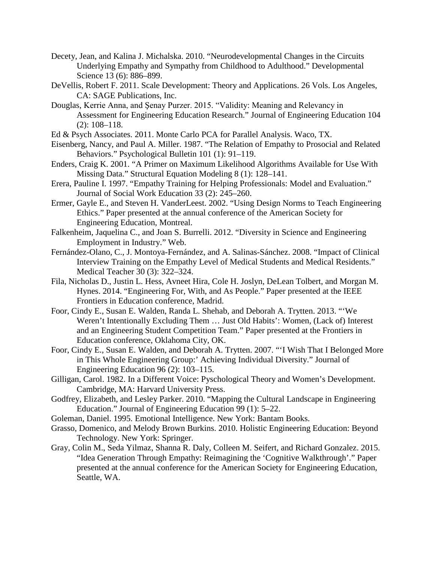- Decety, Jean, and Kalina J. Michalska. 2010. "Neurodevelopmental Changes in the Circuits Underlying Empathy and Sympathy from Childhood to Adulthood." Developmental Science 13 (6): 886–899.
- DeVellis, Robert F. 2011. Scale Development: Theory and Applications. 26 Vols. Los Angeles, CA: SAGE Publications, Inc.
- Douglas, Kerrie Anna, and Şenay Purzer. 2015. "Validity: Meaning and Relevancy in Assessment for Engineering Education Research." Journal of Engineering Education 104 (2): 108–118.
- Ed & Psych Associates. 2011. Monte Carlo PCA for Parallel Analysis. Waco, TX.
- Eisenberg, Nancy, and Paul A. Miller. 1987. "The Relation of Empathy to Prosocial and Related Behaviors." Psychological Bulletin 101 (1): 91–119.
- Enders, Craig K. 2001. "A Primer on Maximum Likelihood Algorithms Available for Use With Missing Data." Structural Equation Modeling 8 (1): 128–141.
- Erera, Pauline I. 1997. "Empathy Training for Helping Professionals: Model and Evaluation." Journal of Social Work Education 33 (2): 245–260.
- Ermer, Gayle E., and Steven H. VanderLeest. 2002. "Using Design Norms to Teach Engineering Ethics." Paper presented at the annual conference of the American Society for Engineering Education, Montreal.
- Falkenheim, Jaquelina C., and Joan S. Burrelli. 2012. "Diversity in Science and Engineering Employment in Industry." Web.
- Fernández-Olano, C., J. Montoya-Fernández, and A. Salinas-Sánchez. 2008. "Impact of Clinical Interview Training on the Empathy Level of Medical Students and Medical Residents." Medical Teacher 30 (3): 322–324.
- Fila, Nicholas D., Justin L. Hess, Avneet Hira, Cole H. Joslyn, DeLean Tolbert, and Morgan M. Hynes. 2014. "Engineering For, With, and As People." Paper presented at the IEEE Frontiers in Education conference, Madrid.
- Foor, Cindy E., Susan E. Walden, Randa L. Shehab, and Deborah A. Trytten. 2013. "'We Weren't Intentionally Excluding Them … Just Old Habits': Women, (Lack of) Interest and an Engineering Student Competition Team." Paper presented at the Frontiers in Education conference, Oklahoma City, OK.
- Foor, Cindy E., Susan E. Walden, and Deborah A. Trytten. 2007. "'I Wish That I Belonged More in This Whole Engineering Group:' Achieving Individual Diversity." Journal of Engineering Education 96 (2): 103–115.
- Gilligan, Carol. 1982. In a Different Voice: Pyschological Theory and Women's Development. Cambridge, MA: Harvard University Press.
- Godfrey, Elizabeth, and Lesley Parker. 2010. "Mapping the Cultural Landscape in Engineering Education." Journal of Engineering Education 99 (1): 5–22.
- Goleman, Daniel. 1995. Emotional Intelligence. New York: Bantam Books.
- Grasso, Domenico, and Melody Brown Burkins. 2010. Holistic Engineering Education: Beyond Technology. New York: Springer.
- Gray, Colin M., Seda Yilmaz, Shanna R. Daly, Colleen M. Seifert, and Richard Gonzalez. 2015. "Idea Generation Through Empathy: Reimagining the 'Cognitive Walkthrough'." Paper presented at the annual conference for the American Society for Engineering Education, Seattle, WA.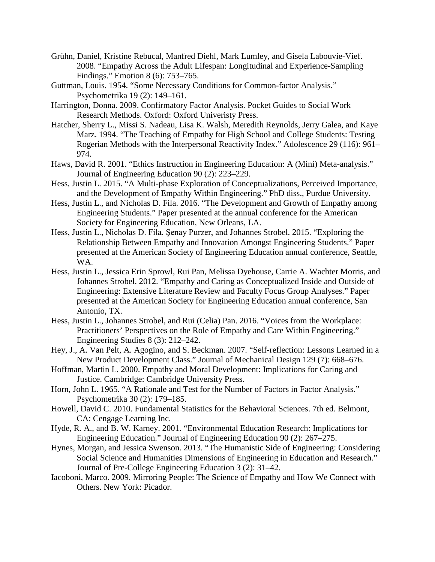- Grühn, Daniel, Kristine Rebucal, Manfred Diehl, Mark Lumley, and Gisela Labouvie-Vief. 2008. "Empathy Across the Adult Lifespan: Longitudinal and Experience-Sampling Findings." Emotion 8 (6): 753–765.
- Guttman, Louis. 1954. "Some Necessary Conditions for Common-factor Analysis." Psychometrika 19 (2): 149–161.
- Harrington, Donna. 2009. Confirmatory Factor Analysis. Pocket Guides to Social Work Research Methods. Oxford: Oxford Univeristy Press.
- Hatcher, Sherry L., Missi S. Nadeau, Lisa K. Walsh, Meredith Reynolds, Jerry Galea, and Kaye Marz. 1994. "The Teaching of Empathy for High School and College Students: Testing Rogerian Methods with the Interpersonal Reactivity Index." Adolescence 29 (116): 961– 974.
- Haws, David R. 2001. "Ethics Instruction in Engineering Education: A (Mini) Meta-analysis." Journal of Engineering Education 90 (2): 223–229.
- Hess, Justin L. 2015. "A Multi-phase Exploration of Conceptualizations, Perceived Importance, and the Development of Empathy Within Engineering." PhD diss., Purdue University.
- Hess, Justin L., and Nicholas D. Fila. 2016. "The Development and Growth of Empathy among Engineering Students." Paper presented at the annual conference for the American Society for Engineering Education, New Orleans, LA.
- Hess, Justin L., Nicholas D. Fila, Şenay Purzer, and Johannes Strobel. 2015. "Exploring the Relationship Between Empathy and Innovation Amongst Engineering Students." Paper presented at the American Society of Engineering Education annual conference, Seattle, WA.
- Hess, Justin L., Jessica Erin Sprowl, Rui Pan, Melissa Dyehouse, Carrie A. Wachter Morris, and Johannes Strobel. 2012. "Empathy and Caring as Conceptualized Inside and Outside of Engineering: Extensive Literature Review and Faculty Focus Group Analyses." Paper presented at the American Society for Engineering Education annual conference, San Antonio, TX.
- Hess, Justin L., Johannes Strobel, and Rui (Celia) Pan. 2016. "Voices from the Workplace: Practitioners' Perspectives on the Role of Empathy and Care Within Engineering." Engineering Studies 8 (3): 212–242.
- Hey, J., A. Van Pelt, A. Agogino, and S. Beckman. 2007. "Self-reflection: Lessons Learned in a New Product Development Class." Journal of Mechanical Design 129 (7): 668–676.
- Hoffman, Martin L. 2000. Empathy and Moral Development: Implications for Caring and Justice. Cambridge: Cambridge University Press.
- Horn, John L. 1965. "A Rationale and Test for the Number of Factors in Factor Analysis." Psychometrika 30 (2): 179–185.
- Howell, David C. 2010. Fundamental Statistics for the Behavioral Sciences. 7th ed. Belmont, CA: Cengage Learning Inc.
- Hyde, R. A., and B. W. Karney. 2001. "Environmental Education Research: Implications for Engineering Education." Journal of Engineering Education 90 (2): 267–275.
- Hynes, Morgan, and Jessica Swenson. 2013. "The Humanistic Side of Engineering: Considering Social Science and Humanities Dimensions of Engineering in Education and Research." Journal of Pre-College Engineering Education 3 (2): 31–42.
- Iacoboni, Marco. 2009. Mirroring People: The Science of Empathy and How We Connect with Others. New York: Picador.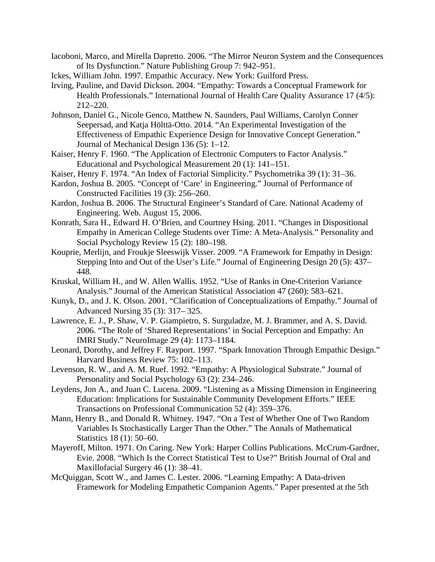- Iacoboni, Marco, and Mirella Dapretto. 2006. "The Mirror Neuron System and the Consequences of Its Dysfunction." Nature Publishing Group 7: 942–951.
- Ickes, William John. 1997. Empathic Accuracy. New York: Guilford Press.
- Irving, Pauline, and David Dickson. 2004. "Empathy: Towards a Conceptual Framework for Health Professionals." International Journal of Health Care Quality Assurance 17 (4/5): 212–220.
- Johnson, Daniel G., Nicole Genco, Matthew N. Saunders, Paul Williams, Carolyn Conner Seepersad, and Katja Hölttä-Otto. 2014. "An Experimental Investigation of the Effectiveness of Empathic Experience Design for Innovative Concept Generation." Journal of Mechanical Design 136 (5): 1–12.
- Kaiser, Henry F. 1960. "The Application of Electronic Computers to Factor Analysis." Educational and Psychological Measurement 20 (1): 141–151.
- Kaiser, Henry F. 1974. "An Index of Factorial Simplicity." Psychometrika 39 (1): 31–36.
- Kardon, Joshua B. 2005. "Concept of 'Care' in Engineering." Journal of Performance of Constructed Facilities 19 (3): 256–260.
- Kardon, Joshua B. 2006. The Structural Engineer's Standard of Care. National Academy of Engineering. Web. August 15, 2006.
- Konrath, Sara H., Edward H. O'Brien, and Courtney Hsing. 2011. "Changes in Dispositional Empathy in American College Students over Time: A Meta-Analysis." Personality and Social Psychology Review 15 (2): 180–198.
- Kouprie, Merlijn, and Froukje Sleeswijk Visser. 2009. "A Framework for Empathy in Design: Stepping Into and Out of the User's Life." Journal of Engineering Design 20 (5): 437– 448.
- Kruskal, William H., and W. Allen Wallis. 1952. "Use of Ranks in One-Criterion Variance Analysis." Journal of the American Statistical Association 47 (260): 583–621.
- Kunyk, D., and J. K. Olson. 2001. "Clarification of Conceptualizations of Empathy." Journal of Advanced Nursing 35 (3): 317– 325.
- Lawrence, E. J., P. Shaw, V. P. Giampietro, S. Surguladze, M. J. Brammer, and A. S. David. 2006. "The Role of 'Shared Representations' in Social Perception and Empathy: An fMRI Study." NeuroImage 29 (4): 1173–1184.
- Leonard, Dorothy, and Jeffrey F. Rayport. 1997. "Spark Innovation Through Empathic Design." Harvard Business Review 75: 102–113.
- Levenson, R. W., and A. M. Ruef. 1992. "Empathy: A Physiological Substrate." Journal of Personality and Social Psychology 63 (2): 234–246.
- Leydens, Jon A., and Juan C. Lucena. 2009. "Listening as a Missing Dimension in Engineering Education: Implications for Sustainable Community Development Efforts." IEEE Transactions on Professional Communication 52 (4): 359–376.
- Mann, Henry B., and Donald R. Whitney. 1947. "On a Test of Whether One of Two Random Variables Is Stochastically Larger Than the Other." The Annals of Mathematical Statistics 18 (1): 50–60.
- Mayeroff, Milton. 1971. On Caring. New York: Harper Collins Publications. McCrum-Gardner, Evie. 2008. "Which Is the Correct Statistical Test to Use?" British Journal of Oral and Maxillofacial Surgery 46 (1): 38–41.
- McQuiggan, Scott W., and James C. Lester. 2006. "Learning Empathy: A Data-driven Framework for Modeling Empathetic Companion Agents." Paper presented at the 5th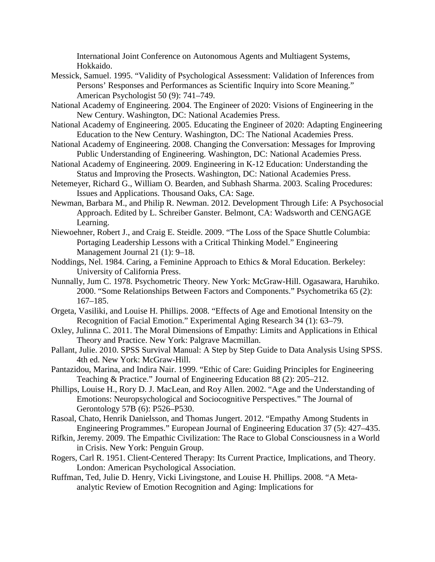International Joint Conference on Autonomous Agents and Multiagent Systems, Hokkaido.

- Messick, Samuel. 1995. "Validity of Psychological Assessment: Validation of Inferences from Persons' Responses and Performances as Scientific Inquiry into Score Meaning." American Psychologist 50 (9): 741–749.
- National Academy of Engineering. 2004. The Engineer of 2020: Visions of Engineering in the New Century. Washington, DC: National Academies Press.
- National Academy of Engineering. 2005. Educating the Engineer of 2020: Adapting Engineering Education to the New Century. Washington, DC: The National Academies Press.
- National Academy of Engineering. 2008. Changing the Conversation: Messages for Improving Public Understanding of Engineering. Washington, DC: National Academies Press.
- National Academy of Engineering. 2009. Engineering in K-12 Education: Understanding the Status and Improving the Prosects. Washington, DC: National Academies Press.
- Netemeyer, Richard G., William O. Bearden, and Subhash Sharma. 2003. Scaling Procedures: Issues and Applications. Thousand Oaks, CA: Sage.
- Newman, Barbara M., and Philip R. Newman. 2012. Development Through Life: A Psychosocial Approach. Edited by L. Schreiber Ganster. Belmont, CA: Wadsworth and CENGAGE Learning.
- Niewoehner, Robert J., and Craig E. Steidle. 2009. "The Loss of the Space Shuttle Columbia: Portaging Leadership Lessons with a Critical Thinking Model." Engineering Management Journal 21 (1): 9–18.
- Noddings, Nel. 1984. Caring, a Feminine Approach to Ethics & Moral Education. Berkeley: University of California Press.
- Nunnally, Jum C. 1978. Psychometric Theory. New York: McGraw-Hill. Ogasawara, Haruhiko. 2000. "Some Relationships Between Factors and Components." Psychometrika 65 (2): 167–185.
- Orgeta, Vasiliki, and Louise H. Phillips. 2008. "Effects of Age and Emotional Intensity on the Recognition of Facial Emotion." Experimental Aging Research 34 (1): 63–79.
- Oxley, Julinna C. 2011. The Moral Dimensions of Empathy: Limits and Applications in Ethical Theory and Practice. New York: Palgrave Macmillan.
- Pallant, Julie. 2010. SPSS Survival Manual: A Step by Step Guide to Data Analysis Using SPSS. 4th ed. New York: McGraw-Hill.
- Pantazidou, Marina, and Indira Nair. 1999. "Ethic of Care: Guiding Principles for Engineering Teaching & Practice." Journal of Engineering Education 88 (2): 205–212.
- Phillips, Louise H., Rory D. J. MacLean, and Roy Allen. 2002. "Age and the Understanding of Emotions: Neuropsychological and Sociocognitive Perspectives." The Journal of Gerontology 57B (6): P526–P530.
- Rasoal, Chato, Henrik Danielsson, and Thomas Jungert. 2012. "Empathy Among Students in Engineering Programmes." European Journal of Engineering Education 37 (5): 427–435.
- Rifkin, Jeremy. 2009. The Empathic Civilization: The Race to Global Consciousness in a World in Crisis. New York: Penguin Group.
- Rogers, Carl R. 1951. Client-Centered Therapy: Its Current Practice, Implications, and Theory. London: American Psychological Association.
- Ruffman, Ted, Julie D. Henry, Vicki Livingstone, and Louise H. Phillips. 2008. "A Metaanalytic Review of Emotion Recognition and Aging: Implications for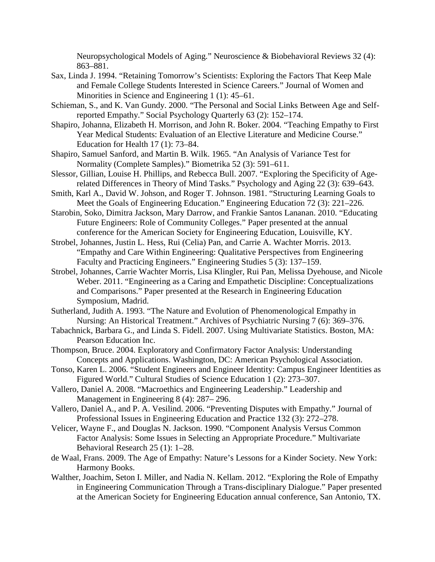Neuropsychological Models of Aging." Neuroscience & Biobehavioral Reviews 32 (4): 863–881.

- Sax, Linda J. 1994. "Retaining Tomorrow's Scientists: Exploring the Factors That Keep Male and Female College Students Interested in Science Careers." Journal of Women and Minorities in Science and Engineering 1 (1): 45–61.
- Schieman, S., and K. Van Gundy. 2000. "The Personal and Social Links Between Age and Selfreported Empathy." Social Psychology Quarterly 63 (2): 152–174.
- Shapiro, Johanna, Elizabeth H. Morrison, and John R. Boker. 2004. "Teaching Empathy to First Year Medical Students: Evaluation of an Elective Literature and Medicine Course." Education for Health 17 (1): 73–84.
- Shapiro, Samuel Sanford, and Martin B. Wilk. 1965. "An Analysis of Variance Test for Normality (Complete Samples)." Biometrika 52 (3): 591–611.
- Slessor, Gillian, Louise H. Phillips, and Rebecca Bull. 2007. "Exploring the Specificity of Agerelated Differences in Theory of Mind Tasks." Psychology and Aging 22 (3): 639–643.
- Smith, Karl A., David W. Johson, and Roger T. Johnson. 1981. "Structuring Learning Goals to Meet the Goals of Engineering Education." Engineering Education 72 (3): 221–226.
- Starobin, Soko, Dimitra Jackson, Mary Darrow, and Frankie Santos Lananan. 2010. "Educating Future Engineers: Role of Community Colleges." Paper presented at the annual conference for the American Society for Engineering Education, Louisville, KY.
- Strobel, Johannes, Justin L. Hess, Rui (Celia) Pan, and Carrie A. Wachter Morris. 2013. "Empathy and Care Within Engineering: Qualitative Perspectives from Engineering Faculty and Practicing Engineers." Engineering Studies 5 (3): 137–159.
- Strobel, Johannes, Carrie Wachter Morris, Lisa Klingler, Rui Pan, Melissa Dyehouse, and Nicole Weber. 2011. "Engineering as a Caring and Empathetic Discipline: Conceptualizations and Comparisons." Paper presented at the Research in Engineering Education Symposium, Madrid.
- Sutherland, Judith A. 1993. "The Nature and Evolution of Phenomenological Empathy in Nursing: An Historical Treatment." Archives of Psychiatric Nursing 7 (6): 369–376.
- Tabachnick, Barbara G., and Linda S. Fidell. 2007. Using Multivariate Statistics. Boston, MA: Pearson Education Inc.
- Thompson, Bruce. 2004. Exploratory and Confirmatory Factor Analysis: Understanding Concepts and Applications. Washington, DC: American Psychological Association.
- Tonso, Karen L. 2006. "Student Engineers and Engineer Identity: Campus Engineer Identities as Figured World." Cultural Studies of Science Education 1 (2): 273–307.
- Vallero, Daniel A. 2008. "Macroethics and Engineering Leadership." Leadership and Management in Engineering 8 (4): 287– 296.
- Vallero, Daniel A., and P. A. Vesilind. 2006. "Preventing Disputes with Empathy." Journal of Professional Issues in Engineering Education and Practice 132 (3): 272–278.
- Velicer, Wayne F., and Douglas N. Jackson. 1990. "Component Analysis Versus Common Factor Analysis: Some Issues in Selecting an Appropriate Procedure." Multivariate Behavioral Research 25 (1): 1–28.
- de Waal, Frans. 2009. The Age of Empathy: Nature's Lessons for a Kinder Society. New York: Harmony Books.
- Walther, Joachim, Seton I. Miller, and Nadia N. Kellam. 2012. "Exploring the Role of Empathy in Engineering Communication Through a Trans-disciplinary Dialogue." Paper presented at the American Society for Engineering Education annual conference, San Antonio, TX.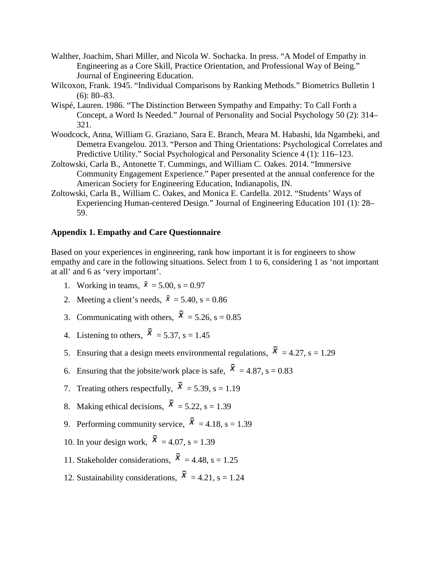- Walther, Joachim, Shari Miller, and Nicola W. Sochacka. In press. "A Model of Empathy in Engineering as a Core Skill, Practice Orientation, and Professional Way of Being." Journal of Engineering Education.
- Wilcoxon, Frank. 1945. "Individual Comparisons by Ranking Methods." Biometrics Bulletin 1 (6): 80–83.
- Wispé, Lauren. 1986. "The Distinction Between Sympathy and Empathy: To Call Forth a Concept, a Word Is Needed." Journal of Personality and Social Psychology 50 (2): 314– 321.
- Woodcock, Anna, William G. Graziano, Sara E. Branch, Meara M. Habashi, Ida Ngambeki, and Demetra Evangelou. 2013. "Person and Thing Orientations: Psychological Correlates and Predictive Utility." Social Psychological and Personality Science 4 (1): 116–123.
- Zoltowski, Carla B., Antonette T. Cummings, and William C. Oakes. 2014. "Immersive Community Engagement Experience." Paper presented at the annual conference for the American Society for Engineering Education, Indianapolis, IN.
- Zoltowski, Carla B., William C. Oakes, and Monica E. Cardella. 2012. "Students' Ways of Experiencing Human-centered Design." Journal of Engineering Education 101 (1): 28– 59.

### **Appendix 1. Empathy and Care Questionnaire**

Based on your experiences in engineering, rank how important it is for engineers to show empathy and care in the following situations. Select from 1 to 6, considering 1 as 'not important at all' and 6 as 'very important'.

- 1. Working in teams,  $\bar{x} = 5.00$ , s = 0.97
- 2. Meeting a client's needs,  $\bar{x} = 5.40$ , s = 0.86
- 3. Communicating with others,  $\bar{x}$  = 5.26, s = 0.85
- 4. Listening to others,  $\bar{x}$  = 5.37, s = 1.45
- 5. Ensuring that a design meets environmental regulations,  $\bar{x}$  = 4.27, s = 1.29
- 6. Ensuring that the jobsite/work place is safe,  $\bar{x}$  = 4.87, s = 0.83
- 7. Treating others respectfully,  $\bar{x}$  = 5.39, s = 1.19
- 8. Making ethical decisions,  $\bar{x}$  = 5.22, s = 1.39
- 9. Performing community service,  $\bar{x}$  = 4.18, s = 1.39
- 10. In your design work,  $\bar{x}$  = 4.07, s = 1.39
- 11. Stakeholder considerations,  $\bar{x}$  = 4.48, s = 1.25
- 12. Sustainability considerations,  $\bar{x}$  = 4.21, s = 1.24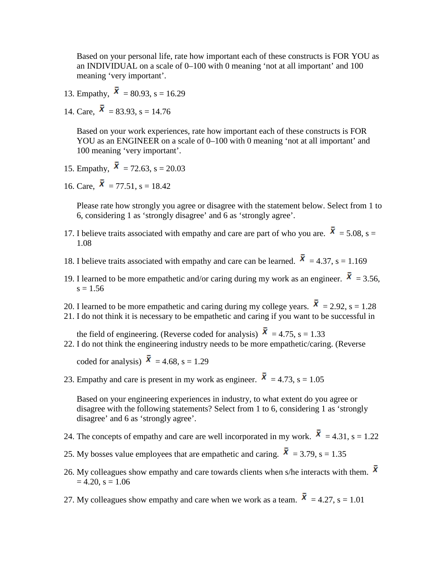Based on your personal life, rate how important each of these constructs is FOR YOU as an INDIVIDUAL on a scale of 0–100 with 0 meaning 'not at all important' and 100 meaning 'very important'.

- 13. Empathy,  $\bar{x}$  = 80.93, s = 16.29
- 14. Care,  $\bar{x}$  = 83.93, s = 14.76

Based on your work experiences, rate how important each of these constructs is FOR YOU as an ENGINEER on a scale of 0–100 with 0 meaning 'not at all important' and 100 meaning 'very important'.

- 15. Empathy,  $\bar{x}$  = 72.63, s = 20.03
- 16. Care,  $\bar{x}$  = 77.51, s = 18.42

Please rate how strongly you agree or disagree with the statement below. Select from 1 to 6, considering 1 as 'strongly disagree' and 6 as 'strongly agree'.

- 17. I believe traits associated with empathy and care are part of who you are.  $\bar{x}$  = 5.08, s = 1.08
- 18. I believe traits associated with empathy and care can be learned.  $\bar{x}$  = 4.37, s = 1.169
- 19. I learned to be more empathetic and/or caring during my work as an engineer.  $\bar{x}$  = 3.56,  $s = 1.56$
- 20. I learned to be more empathetic and caring during my college years.  $\bar{x}$  = 2.92, s = 1.28
- 21. I do not think it is necessary to be empathetic and caring if you want to be successful in
	- the field of engineering. (Reverse coded for analysis)  $\bar{x}$  = 4.75, s = 1.33
- 22. I do not think the engineering industry needs to be more empathetic/caring. (Reverse

coded for analysis)  $\bar{x}$  = 4.68, s = 1.29

23. Empathy and care is present in my work as engineer.  $\bar{x}$  = 4.73, s = 1.05

Based on your engineering experiences in industry, to what extent do you agree or disagree with the following statements? Select from 1 to 6, considering 1 as 'strongly disagree' and 6 as 'strongly agree'.

- 24. The concepts of empathy and care are well incorporated in my work.  $\bar{x}$  = 4.31, s = 1.22
- 25. My bosses value employees that are empathetic and caring.  $\bar{x}$  = 3.79, s = 1.35
- 26. My colleagues show empathy and care towards clients when s/he interacts with them.  $\bar{x}$  $= 4.20$ ,  $s = 1.06$
- 27. My colleagues show empathy and care when we work as a team.  $\bar{x}$  = 4.27, s = 1.01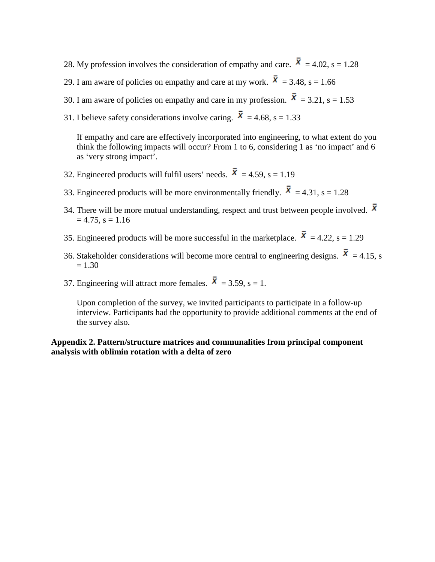- 28. My profession involves the consideration of empathy and care.  $\bar{x} = 4.02$ , s = 1.28
- 29. I am aware of policies on empathy and care at my work.  $\bar{x}$  = 3.48, s = 1.66
- 30. I am aware of policies on empathy and care in my profession.  $\bar{x}$  = 3.21, s = 1.53
- 31. I believe safety considerations involve caring.  $\bar{x}$  = 4.68, s = 1.33

If empathy and care are effectively incorporated into engineering, to what extent do you think the following impacts will occur? From 1 to 6, considering 1 as 'no impact' and 6 as 'very strong impact'.

- 32. Engineered products will fulfil users' needs.  $\bar{X} = 4.59$ , s = 1.19
- 33. Engineered products will be more environmentally friendly.  $\bar{x}$  = 4.31, s = 1.28
- 34. There will be more mutual understanding, respect and trust between people involved.  $\bar{x}$  $= 4.75$ ,  $s = 1.16$
- 35. Engineered products will be more successful in the marketplace.  $\bar{x}$  = 4.22, s = 1.29
- 36. Stakeholder considerations will become more central to engineering designs.  $\bar{x}$  = 4.15, s  $= 1.30$
- 37. Engineering will attract more females.  $\bar{x} = 3.59$ , s = 1.

Upon completion of the survey, we invited participants to participate in a follow-up interview. Participants had the opportunity to provide additional comments at the end of the survey also.

## **Appendix 2. Pattern/structure matrices and communalities from principal component analysis with oblimin rotation with a delta of zero**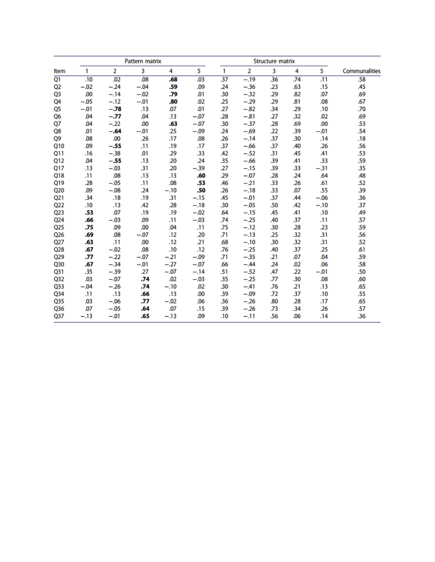|                 |        |                | Pattern matrix |        |        |                  |                | <b>Structure matrix</b> |     |        |                      |
|-----------------|--------|----------------|----------------|--------|--------|------------------|----------------|-------------------------|-----|--------|----------------------|
| Item            | 1      | $\overline{2}$ | 3              | 4      | 5      | 1                | $\overline{2}$ | $\overline{\mathbf{3}}$ | 4   | 5      | <b>Communalities</b> |
| $\overline{Q1}$ | .10    | .02            | .08            | .68    | .03    | $\overline{.37}$ | $-.19$         | .36                     | .74 | .11    | .58                  |
| Q <sub>2</sub>  | $-.02$ | $-.24$         | $-.04$         | .59    | .09    | .24              | $-.36$         | .23                     | .63 | .15    | .45                  |
| Q3              | .00    | $-.14$         | $-.02$         | .79    | .01    | .30              | $-.32$         | .29                     | .82 | .07    | .69                  |
| Q4              | $-.05$ | $-.12$         | $-.01$         | .80    | .02    | .25              | $-.29$         | .29                     | .81 | .08    | .67                  |
| Q5              | $-.01$ | $-.78$         | .13            | .07    | .01    | .27              | $-.82$         | .34                     | .29 | .10    | .70                  |
| Q6              | .04    | $-.77$         | .04            | .13    | $-.07$ | .28              | $-.81$         | .27                     | .32 | .02    | .69                  |
| Q7              | .04    | $-.22$         | .00            | .63    | $-.07$ | .30              | $-.37$         | .28                     | .69 | .00    | .53                  |
| Q8              | .01    | $-.64$         | $-.01$         | .25    | $-.09$ | .24              | $-.69$         | .22                     | .39 | $-.01$ | .54                  |
| Q9              | .08    | .00            | .26            | .17    | .08    | .26              | $-.14$         | .37                     | .30 | .14    | .18                  |
| Q10             | .09    | $-.55$         | .11            | .19    | .17    | .37              | $-.66$         | .37                     | .40 | .26    | .56                  |
| Q11             | .16    | $-.38$         | .01            | .29    | .33    | .42              | $-.52$         | .31                     | .45 | .41    | .53                  |
| Q12             | .04    | $-.55$         | .13            | .20    | .24    | .35              | $-.66$         | .39                     | .41 | .33    | .59                  |
| Q17             | .13    | $-.03$         | .31            | .20    | $-.39$ | .27              | $-.15$         | .39                     | .33 | $-.31$ | .35                  |
| Q18             | .11    | .08            | .13            | .13    | .60    | .29              | $-.07$         | .28                     | .24 | .64    | .48                  |
| Q19             | .28    | $-.05$         | .11            | .08    | .53    | .46              | $-.21$         | .33                     | .26 | .61    | .52                  |
| Q20             | .09    | $-.08$         | .24            | $-.10$ | .50    | .26              | $-.18$         | .33                     | .07 | .55    | .39                  |
| Q21             | .34    | .18            | .19            | .31    | $-.15$ | .45              | $-.01$         | .37                     | .44 | $-.06$ | .36                  |
| Q22             | .10    | .13            | .42            | .28    | $-.18$ | .30              | $-.05$         | .50                     | .42 | $-.10$ | 37                   |
| Q <sub>23</sub> | .53    | .07            | .19            | .19    | $-.02$ | .64              | $-.15$         | .45                     | .41 | .10    | .49                  |
| Q24             | .66    | $-.03$         | .09            | .11    | $-.03$ | .74              | $-.25$         | .40                     | .37 | .11    | .57                  |
| Q25             | .75    | .09            | .00            | .04    | .11    | .75              | $-.12$         | .30                     | .28 | .23    | .59                  |
| Q26             | .69    | .08            | $-.07$         | .12    | .20    | .71              | $-.13$         | .25                     | .32 | .31    | .56                  |
| Q27             | .63    | .11            | .00            | .12    | .21    | .68              | $-.10$         | .30                     | .32 | .31    | .52                  |
| Q28             | .67    | $-.02$         | .08            | .10    | .12    | .76              | $-.25$         | .40                     | .37 | .25    | .61                  |
| Q29             | .77    | $-.22$         | $-.07$         | $-.21$ | $-.09$ | .71              | $-.35$         | .21                     | .07 | .04    | .59                  |
| Q30             | .67    | $-.34$         | $-.01$         | $-27$  | $-.07$ | .66              | $-.44$         | .24                     | .02 | .06    | .58                  |
| Q31             | .35    | $-.39$         | .27            | $-.07$ | $-.14$ | .51              | $-.52$         | .47                     | .22 | $-.01$ | .50                  |
| Q32             | .03    | $-.07$         | .74            | .02    | $-.03$ | .35              | $-.25$         | .77                     | .30 | .08    | .60                  |
| Q33             | $-.04$ | $-.26$         | .74            | $-.10$ | .02    | .30              | $-.41$         | .76                     | .21 | .13    | .65                  |
| Q34             | .11    | .13            | .66            | .13    | .00    | .39              | $-.09$         | .72                     | .37 | .10    | .55                  |
| Q35             | .03    | $-.06$         | .77            | $-.02$ | .06    | .36              | $-.26$         | .80                     | .28 | .17    | .65                  |
| Q36             | .07    | $-.05$         | .64            | .07    | .15    | .39              | $-.26$         | .73                     | .34 | .26    | .57                  |
| Q37             | $-.13$ | $-.01$         | .65            | $-.13$ | .09    | .10              | $-.11$         | .56                     | .06 | .14    | .36                  |